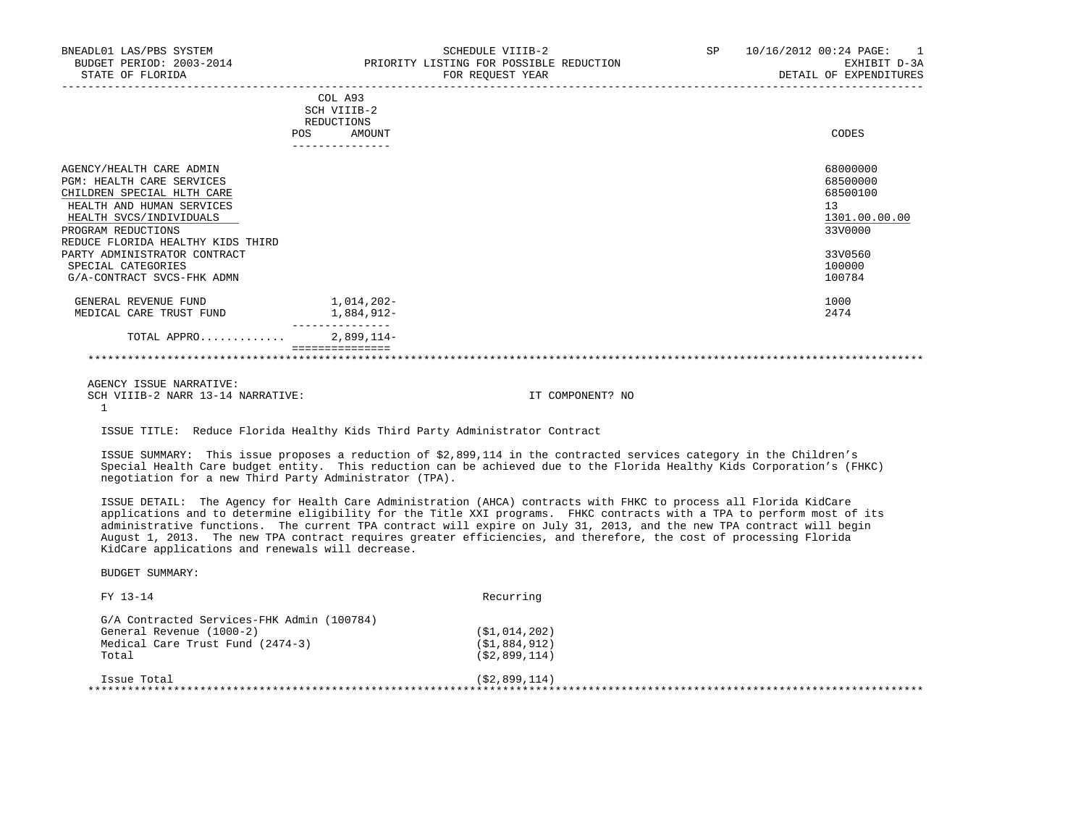|                                                       | COL A93<br>SCH VIIIB-2<br>REDUCTIONS<br>POS.<br>AMOUNT | CODES                |
|-------------------------------------------------------|--------------------------------------------------------|----------------------|
| AGENCY/HEALTH CARE ADMIN<br>PGM: HEALTH CARE SERVICES |                                                        | 68000000<br>68500000 |
| CHILDREN SPECIAL HLTH CARE                            |                                                        | 68500100             |
| HEALTH AND HUMAN SERVICES                             |                                                        | 13                   |
| HEALTH SVCS/INDIVIDUALS                               |                                                        | 1301.00.00.00        |

HEALTH SVCS/INDIVIDUALS 1301.00.<br>PROGRAM REDUCTIONS 33V0000 PROGRAM REDUCTIONS REDUCE FLORIDA HEALTHY KIDS THIRD PARTY ADMINISTRATOR CONTRACT 33V0560<br>SPECIAL CATEGORIES 100000 SPECIAL CATEGORIES 100000 100000 100000 100000 100000 100000 100000 100000 100000 100000 100000 100000 100000 1<br>G/A-CONTRACT SVCS-FHK ADMN G/A-CONTRACT SVCS-FHK ADMN

| . REVENUE FUND<br>GENERAL  | 014,202-      | 1000 |
|----------------------------|---------------|------|
| CARE TRUST FUND<br>MEDICAL | ,884,912-     | 2474 |
|                            | ------------- |      |
| APPRO<br>TOTAL<br>.        | $2,899,114-$  |      |

#### \*\*\*\*\*\*\*\*\*\*\*\*\*\*\*\*\*\*\*\*\*\*\*\*\*\*\*\*\*\*\*\*\*\*\*\*\*\*\*\*\*\*\*\*\*\*\*\*\*\*\*\*\*\*\*\*\*\*\*\*\*\*\*\*\*\*\*\*\*\*\*\*\*\*\*\*\*\*\*\*\*\*\*\*\*\*\*\*\*\*\*\*\*\*\*\*\*\*\*\*\*\*\*\*\*\*\*\*\*\*\*\*\*\*\*\*\*\*\*\*\*\*\*\*\*\*\*

AGENCY ISSUE NARRATIVE:

SCH VIIIB-2 NARR 13-14 NARRATIVE: IT COMPONENT? NO 1

ISSUE TITLE: Reduce Florida Healthy Kids Third Party Administrator Contract

===============

 ISSUE SUMMARY: This issue proposes a reduction of \$2,899,114 in the contracted services category in the Children's Special Health Care budget entity. This reduction can be achieved due to the Florida Healthy Kids Corporation's (FHKC) negotiation for a new Third Party Administrator (TPA).

 ISSUE DETAIL: The Agency for Health Care Administration (AHCA) contracts with FHKC to process all Florida KidCare applications and to determine eligibility for the Title XXI programs. FHKC contracts with a TPA to perform most of its administrative functions. The current TPA contract will expire on July 31, 2013, and the new TPA contract will begin August 1, 2013. The new TPA contract requires greater efficiencies, and therefore, the cost of processing Florida KidCare applications and renewals will decrease.

| ( \$1,014,202)   |
|------------------|
| (S1, 884, 912)   |
| (S2, 899, 114)   |
| ( \$2, 899, 114) |
|                  |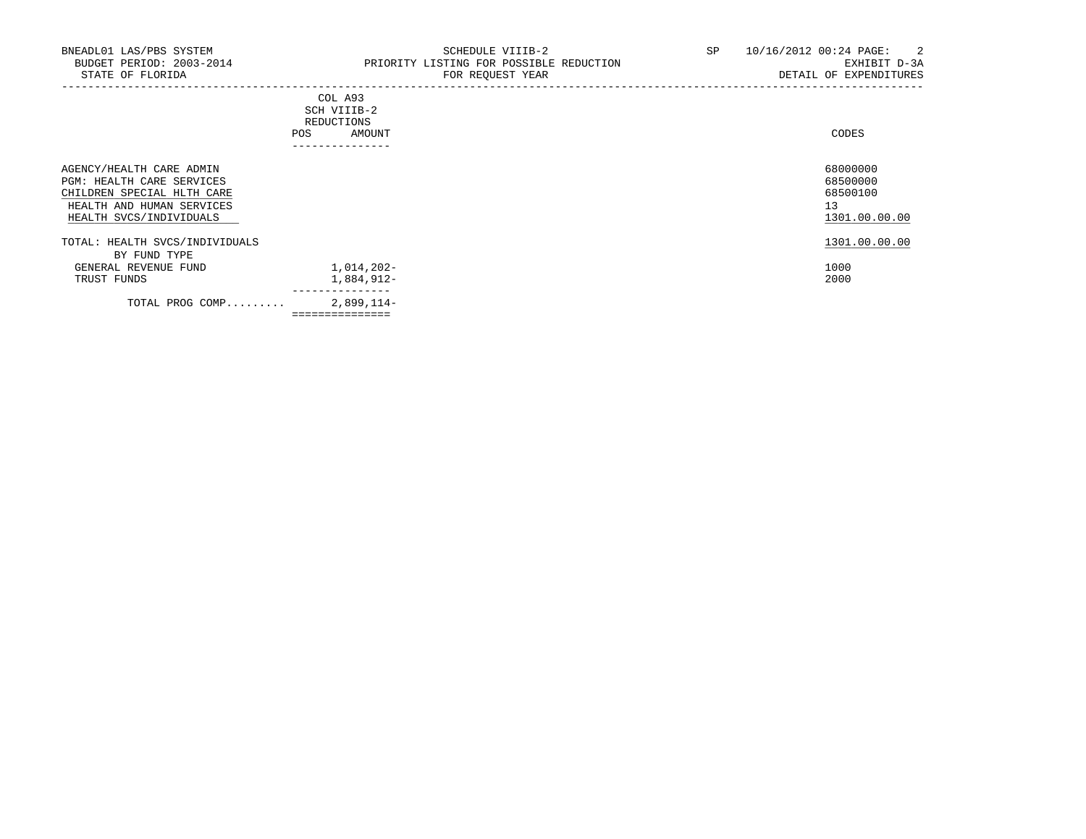-----------------------------------------------------------------------------------------------------------------------------------

|             | COL A93          |       |
|-------------|------------------|-------|
| SCH VIIIB-2 |                  |       |
| REDUCTIONS  |                  |       |
| POS         | AMOUNT           | CODES |
|             | ---------------- |       |
|             |                  |       |

| AGENCY/HEALTH CARE ADMIN<br>PGM: HEALTH CARE SERVICES<br>CHILDREN SPECIAL HLTH CARE<br>HEALTH AND HUMAN SERVICES<br>HEALTH SVCS/INDIVIDUALS |                | 68000000<br>68500000<br>68500100<br>13<br>1301.00.00.00 |
|---------------------------------------------------------------------------------------------------------------------------------------------|----------------|---------------------------------------------------------|
| TOTAL: HEALTH SVCS/INDIVIDUALS<br>BY FUND TYPE                                                                                              |                | 1301.00.00.00                                           |
| GENERAL REVENUE FUND                                                                                                                        | 1,014,202-     | 1000                                                    |
| TRUST FUNDS                                                                                                                                 | 1,884,912-     | 2000                                                    |
| TOTAL PROG COMP                                                                                                                             | 2,899,114-     |                                                         |
|                                                                                                                                             | ============== |                                                         |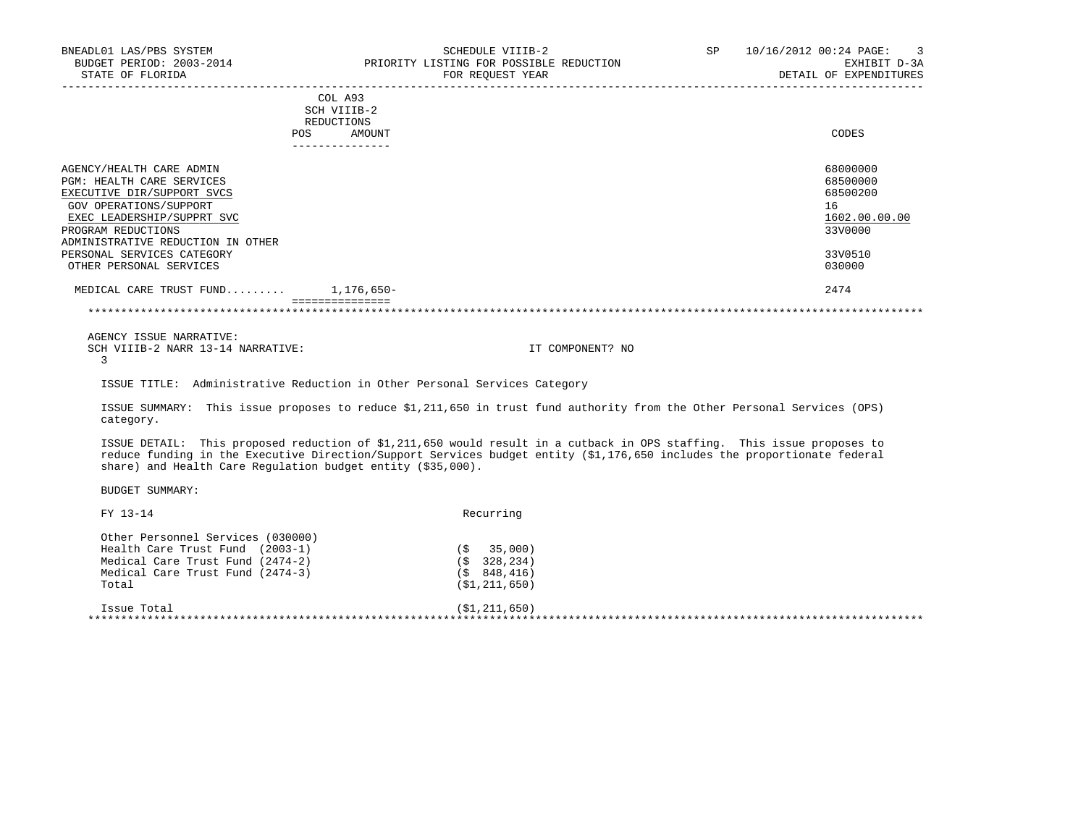| BUDGET PERIOD: 2003-2014<br>STATE OF FLORIDA                |                           | PRIORITY LISTING FOR POSSIBLE REDUCTION<br>FOR REOUEST YEAR                                                                                                                                                                                        | EXHIBIT D-3A<br>DETAIL OF EXPENDITURES |
|-------------------------------------------------------------|---------------------------|----------------------------------------------------------------------------------------------------------------------------------------------------------------------------------------------------------------------------------------------------|----------------------------------------|
|                                                             |                           |                                                                                                                                                                                                                                                    |                                        |
|                                                             | COL A93                   |                                                                                                                                                                                                                                                    |                                        |
|                                                             | SCH VIIIB-2<br>REDUCTIONS |                                                                                                                                                                                                                                                    |                                        |
|                                                             | AMOUNT<br>POS             |                                                                                                                                                                                                                                                    | CODES                                  |
|                                                             | ---------------           |                                                                                                                                                                                                                                                    |                                        |
| AGENCY/HEALTH CARE ADMIN                                    |                           |                                                                                                                                                                                                                                                    | 68000000                               |
| PGM: HEALTH CARE SERVICES                                   |                           |                                                                                                                                                                                                                                                    | 68500000                               |
| EXECUTIVE DIR/SUPPORT SVCS                                  |                           |                                                                                                                                                                                                                                                    | 68500200                               |
| GOV OPERATIONS/SUPPORT                                      |                           |                                                                                                                                                                                                                                                    | 16                                     |
| EXEC LEADERSHIP/SUPPRT SVC                                  |                           |                                                                                                                                                                                                                                                    | 1602.00.00.00                          |
| PROGRAM REDUCTIONS                                          |                           |                                                                                                                                                                                                                                                    | 33V0000                                |
| ADMINISTRATIVE REDUCTION IN OTHER                           |                           |                                                                                                                                                                                                                                                    |                                        |
| PERSONAL SERVICES CATEGORY                                  |                           |                                                                                                                                                                                                                                                    | 33V0510                                |
| OTHER PERSONAL SERVICES                                     |                           |                                                                                                                                                                                                                                                    | 030000                                 |
| MEDICAL CARE TRUST FUND 1,176,650-                          |                           |                                                                                                                                                                                                                                                    | 2474                                   |
|                                                             | ===============           |                                                                                                                                                                                                                                                    |                                        |
|                                                             |                           |                                                                                                                                                                                                                                                    |                                        |
| AGENCY ISSUE NARRATIVE:                                     |                           |                                                                                                                                                                                                                                                    |                                        |
| SCH VIIIB-2 NARR 13-14 NARRATIVE:                           |                           | IT COMPONENT? NO                                                                                                                                                                                                                                   |                                        |
| 3                                                           |                           |                                                                                                                                                                                                                                                    |                                        |
|                                                             |                           | ISSUE TITLE: Administrative Reduction in Other Personal Services Category                                                                                                                                                                          |                                        |
| category.                                                   |                           | ISSUE SUMMARY: This issue proposes to reduce \$1,211,650 in trust fund authority from the Other Personal Services (OPS)                                                                                                                            |                                        |
| share) and Health Care Regulation budget entity (\$35,000). |                           | ISSUE DETAIL: This proposed reduction of \$1,211,650 would result in a cutback in OPS staffing. This issue proposes to<br>reduce funding in the Executive Direction/Support Services budget entity (\$1,176,650 includes the proportionate federal |                                        |
| <b>BUDGET SUMMARY:</b>                                      |                           |                                                                                                                                                                                                                                                    |                                        |
| FY 13-14                                                    |                           | Recurring                                                                                                                                                                                                                                          |                                        |
| Other Personnel Services (030000)                           |                           |                                                                                                                                                                                                                                                    |                                        |
| Health Care Trust Fund (2003-1)                             |                           | $(S \t 35,000)$                                                                                                                                                                                                                                    |                                        |
| Medical Care Trust Fund (2474-2)                            |                           | (S 328, 234)                                                                                                                                                                                                                                       |                                        |
| Medical Care Trust Fund (2474-3)                            |                           | (5848, 416)                                                                                                                                                                                                                                        |                                        |
| Total                                                       |                           | ( \$1, 211, 650)                                                                                                                                                                                                                                   |                                        |

\*\*\*\*\*\*\*\*\*\*\*\*\*\*\*\*\*\*\*\*\*\*\*\*\*\*\*\*\*\*\*\*\*\*\*\*\*\*\*\*\*\*\*\*\*\*\*\*\*\*\*\*\*\*\*\*\*\*\*\*\*\*\*\*\*\*\*\*\*\*\*\*\*\*\*\*\*\*\*\*\*\*\*\*\*\*\*\*\*\*\*\*\*\*\*\*\*\*\*\*\*\*\*\*\*\*\*\*\*\*\*\*\*\*\*\*\*\*\*\*\*\*\*\*\*\*\*

Issue Total (\$1,211,650)

BNEADL01 LAS/PBS SYSTEM SCHEDULE VIIIB-2 SEE 10/16/2012 00:24 PAGE: 3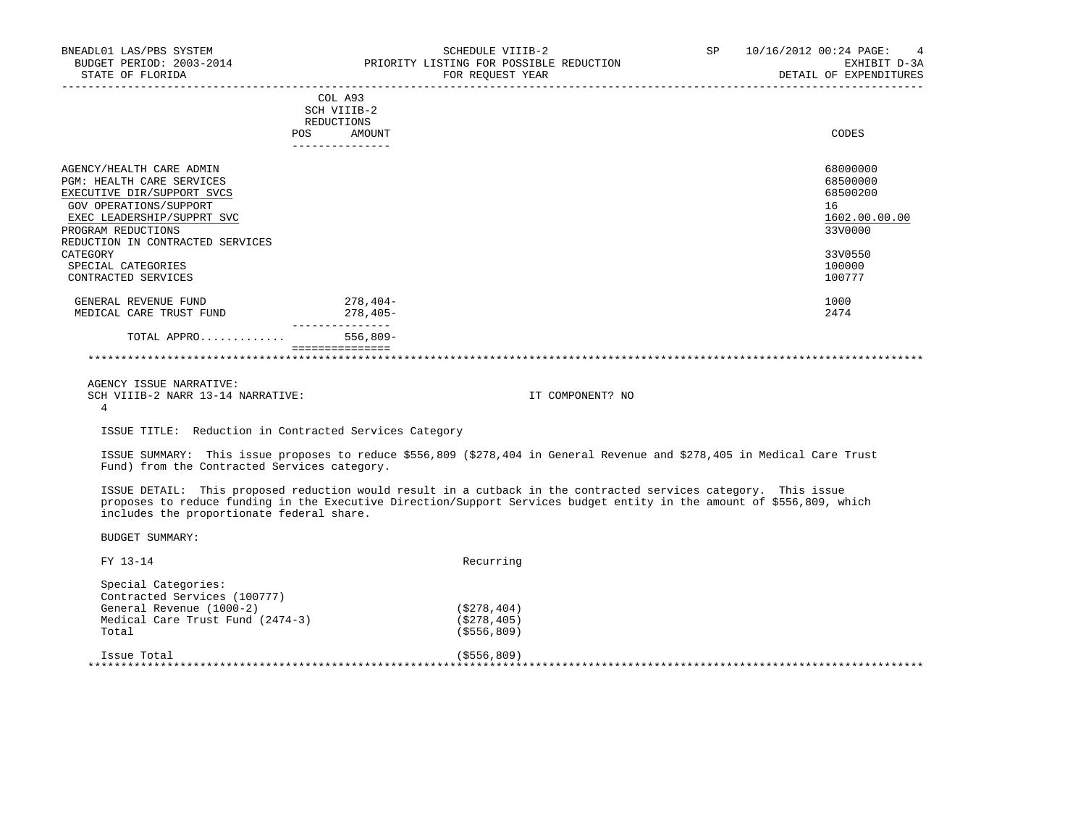| BNEADL01 LAS/PBS SYSTEM<br>BUDGET PERIOD: 2003-2014 PRIORITY LISTING FOR POSSIBLE REDUCTION<br>STATE OF FLORIDA                                                                                                                                                       |                                                                          | SCHEDULE VIIIB-2<br>FOR REOUEST YEAR | SP | 10/16/2012 00:24 PAGE: 4<br>EXHIBIT D-3A<br>DETAIL OF EXPENDITURES                                |
|-----------------------------------------------------------------------------------------------------------------------------------------------------------------------------------------------------------------------------------------------------------------------|--------------------------------------------------------------------------|--------------------------------------|----|---------------------------------------------------------------------------------------------------|
|                                                                                                                                                                                                                                                                       | COL A93<br>SCH VIIIB-2<br>REDUCTIONS<br>POS<br>AMOUNT<br>--------------- |                                      |    | CODES                                                                                             |
| AGENCY/HEALTH CARE ADMIN<br><b>PGM: HEALTH CARE SERVICES</b><br>EXECUTIVE DIR/SUPPORT SVCS<br>GOV OPERATIONS/SUPPORT<br>EXEC LEADERSHIP/SUPPRT SVC<br>PROGRAM REDUCTIONS<br>REDUCTION IN CONTRACTED SERVICES<br>CATEGORY<br>SPECIAL CATEGORIES<br>CONTRACTED SERVICES |                                                                          |                                      |    | 68000000<br>68500000<br>68500200<br>16<br>1602.00.00.00<br>33V0000<br>33V0550<br>100000<br>100777 |
| GENERAL REVENUE FUND<br>MEDICAL CARE TRUST FUND                                                                                                                                                                                                                       | 278,404-<br>$278,405-$                                                   |                                      |    | 1000<br>2474                                                                                      |
| TOTAL APPRO                                                                                                                                                                                                                                                           | ________________<br>$556.809 -$                                          |                                      |    |                                                                                                   |
|                                                                                                                                                                                                                                                                       |                                                                          |                                      |    |                                                                                                   |
| AGENCY ISSUE NARRATIVE:<br>SCH VIIIB-2 NARR 13-14 NARRATIVE:<br>4                                                                                                                                                                                                     |                                                                          | IT COMPONENT? NO                     |    |                                                                                                   |
| ISSUE TITLE: Reduction in Contracted Services Category                                                                                                                                                                                                                |                                                                          |                                      |    |                                                                                                   |

 ISSUE SUMMARY: This issue proposes to reduce \$556,809 (\$278,404 in General Revenue and \$278,405 in Medical Care Trust Fund) from the Contracted Services category.

 ISSUE DETAIL: This proposed reduction would result in a cutback in the contracted services category. This issue proposes to reduce funding in the Executive Direction/Support Services budget entity in the amount of \$556,809, which includes the proportionate federal share.

| FY 13-14                         | Recurring     |  |
|----------------------------------|---------------|--|
| Special Categories:              |               |  |
| Contracted Services (100777)     |               |  |
| General Revenue (1000-2)         | ( \$278, 404) |  |
| Medical Care Trust Fund (2474-3) | ( \$278, 405) |  |
| Total                            | ( \$556, 809) |  |
| Issue Total                      | ( \$556, 809) |  |
|                                  |               |  |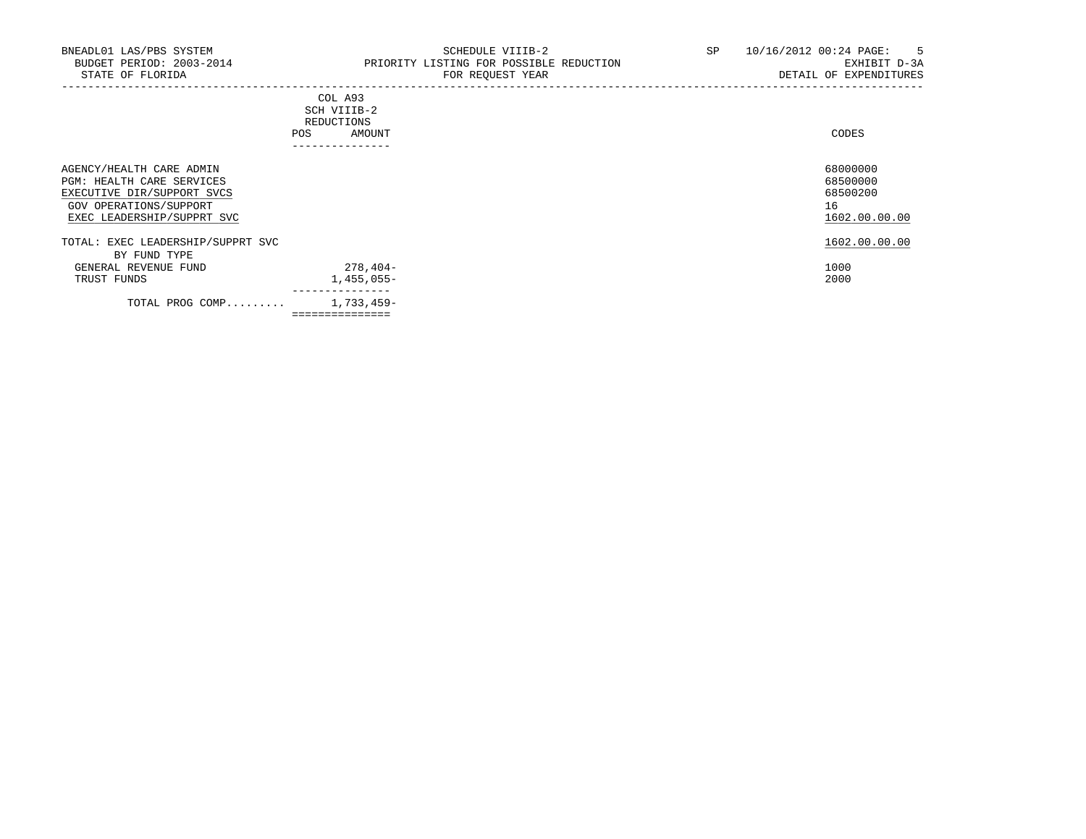| POS                                                                                                                                         | COL A93<br>SCH VIIIB-2<br>REDUCTIONS<br>AMOUNT | CODES                                                   |
|---------------------------------------------------------------------------------------------------------------------------------------------|------------------------------------------------|---------------------------------------------------------|
|                                                                                                                                             | ----------------                               |                                                         |
| AGENCY/HEALTH CARE ADMIN<br>PGM: HEALTH CARE SERVICES<br>EXECUTIVE DIR/SUPPORT SVCS<br>GOV OPERATIONS/SUPPORT<br>EXEC LEADERSHIP/SUPPRT SVC |                                                | 68000000<br>68500000<br>68500200<br>16<br>1602.00.00.00 |
| TOTAL: EXEC LEADERSHIP/SUPPRT SVC                                                                                                           |                                                | 1602.00.00.00                                           |
| BY FUND TYPE                                                                                                                                |                                                |                                                         |
| GENERAL REVENUE FUND                                                                                                                        | $278,404-$                                     | 1000                                                    |
| TRUST FUNDS                                                                                                                                 | 1,455,055-                                     | 2000                                                    |
| TOTAL PROG COMP                                                                                                                             | ______________<br>1,733,459-                   |                                                         |
|                                                                                                                                             | ===============                                |                                                         |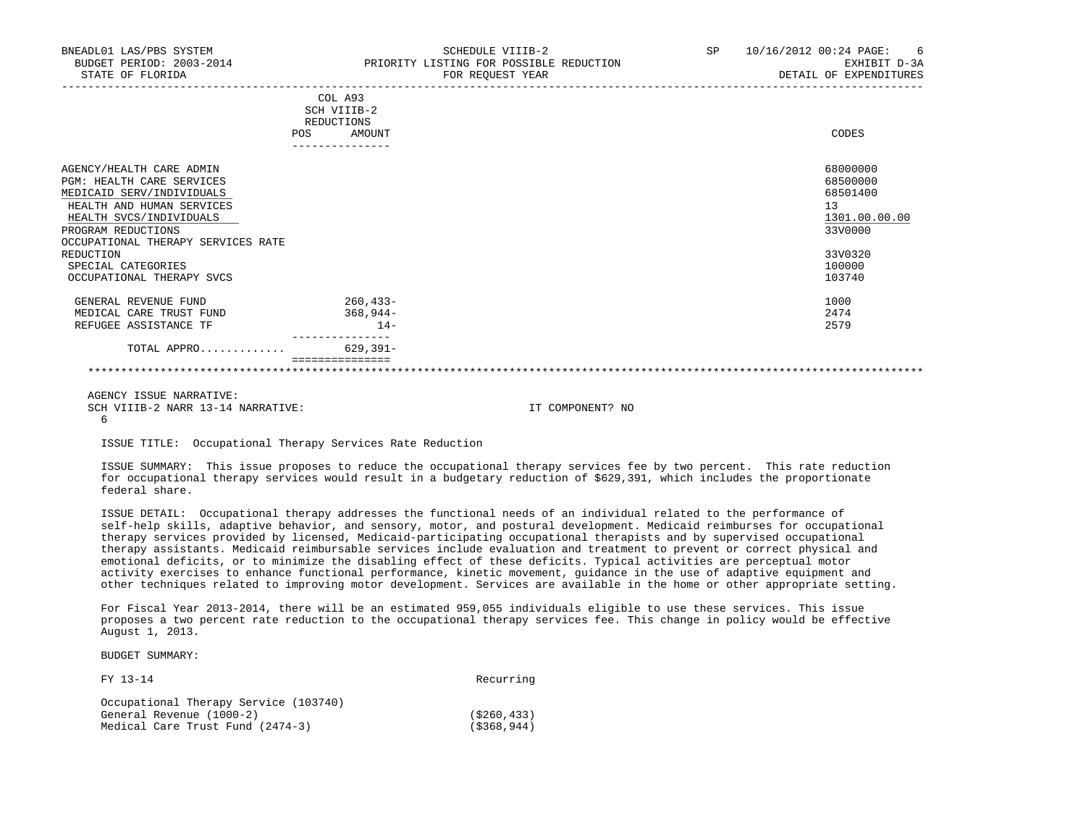| BNEADL01 LAS/PBS SYSTEM<br>BUDGET PERIOD: 2003-2014<br>STATE OF FLORIDA |     |                        | SCHEDULE VIIIB-2<br>PRIORITY LISTING FOR POSSIBLE REDUCTION<br>FOR REQUEST YEAR | SP | 10/16/2012 00:24 PAGE:<br>6<br>EXHIBIT D-3A<br>DETAIL OF EXPENDITURES |
|-------------------------------------------------------------------------|-----|------------------------|---------------------------------------------------------------------------------|----|-----------------------------------------------------------------------|
|                                                                         |     | COL A93<br>SCH VIIIB-2 |                                                                                 |    |                                                                       |
|                                                                         | POS | REDUCTIONS<br>AMOUNT   |                                                                                 |    | CODES                                                                 |
| AGENCY/HEALTH CARE ADMIN                                                |     |                        |                                                                                 |    | 68000000                                                              |
| PGM: HEALTH CARE SERVICES                                               |     |                        |                                                                                 |    | 68500000                                                              |
| MEDICAID SERV/INDIVIDUALS                                               |     |                        |                                                                                 |    | 68501400                                                              |
| HEALTH AND HUMAN SERVICES                                               |     |                        |                                                                                 |    | 13                                                                    |
| HEALTH SVCS/INDIVIDUALS                                                 |     |                        |                                                                                 |    | 1301.00.00.00                                                         |
| PROGRAM REDUCTIONS                                                      |     |                        |                                                                                 |    | 33V0000                                                               |
| OCCUPATIONAL THERAPY SERVICES RATE                                      |     |                        |                                                                                 |    |                                                                       |
| REDUCTION                                                               |     |                        |                                                                                 |    | 33V0320                                                               |
| SPECIAL CATEGORIES                                                      |     |                        |                                                                                 |    | 100000                                                                |
| OCCUPATIONAL THERAPY SVCS                                               |     |                        |                                                                                 |    | 103740                                                                |
| GENERAL REVENUE FUND                                                    |     | 260,433-               |                                                                                 |    | 1000                                                                  |
| MEDICAL CARE TRUST FUND                                                 |     | 368,944-               |                                                                                 |    | 2474                                                                  |
| REFUGEE ASSISTANCE TF                                                   |     | $14-$                  |                                                                                 |    | 2579                                                                  |
| TOTAL APPRO                                                             |     | $629,391-$             |                                                                                 |    |                                                                       |
|                                                                         |     | ===============        |                                                                                 |    |                                                                       |

 AGENCY ISSUE NARRATIVE: SCH VIIIB-2 NARR 13-14 NARRATIVE: IT COMPONENT? NO 6

ISSUE TITLE: Occupational Therapy Services Rate Reduction

 ISSUE SUMMARY: This issue proposes to reduce the occupational therapy services fee by two percent. This rate reduction for occupational therapy services would result in a budgetary reduction of \$629,391, which includes the proportionate federal share.

 ISSUE DETAIL: Occupational therapy addresses the functional needs of an individual related to the performance of self-help skills, adaptive behavior, and sensory, motor, and postural development. Medicaid reimburses for occupational therapy services provided by licensed, Medicaid-participating occupational therapists and by supervised occupational therapy assistants. Medicaid reimbursable services include evaluation and treatment to prevent or correct physical and emotional deficits, or to minimize the disabling effect of these deficits. Typical activities are perceptual motor activity exercises to enhance functional performance, kinetic movement, guidance in the use of adaptive equipment and other techniques related to improving motor development. Services are available in the home or other appropriate setting.

 For Fiscal Year 2013-2014, there will be an estimated 959,055 individuals eligible to use these services. This issue proposes a two percent rate reduction to the occupational therapy services fee. This change in policy would be effective August 1, 2013.

| FY 13-14                              | Recurring   |
|---------------------------------------|-------------|
| Occupational Therapy Service (103740) |             |
| General Revenue (1000-2)              | (5260, 433) |
| Medical Care Trust Fund (2474-3)      | (S368, 944) |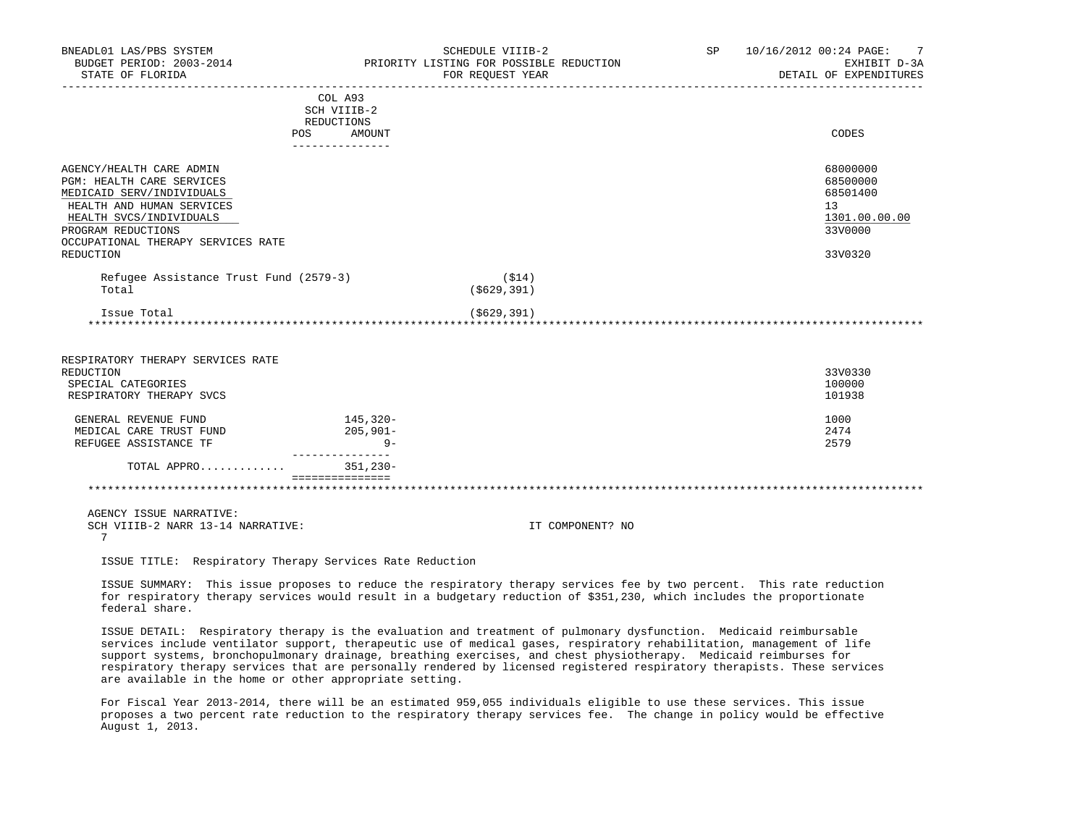| BNEADL01 LAS/PBS SYSTEM<br>BUDGET PERIOD: 2003-2014<br>STATE OF FLORIDA |                                                                                                                                        | SCHEDULE VIIIB-2<br>PRIORITY LISTING FOR POSSIBLE REDUCTION<br>FOR REQUEST YEAR | SP 10/16/2012 00:24 PAGE: 7<br>EXHIBIT D-3A<br>DETAIL OF EXPENDITURES |
|-------------------------------------------------------------------------|----------------------------------------------------------------------------------------------------------------------------------------|---------------------------------------------------------------------------------|-----------------------------------------------------------------------|
|                                                                         | COL A93                                                                                                                                |                                                                                 |                                                                       |
|                                                                         | SCH VIIIB-2                                                                                                                            |                                                                                 |                                                                       |
|                                                                         | REDUCTIONS<br>POS FOR THE POST OF THE STATE STATE STATE STATE STATE STATE STATE STATE STATE STATE STATE STATE STATE STATE ST<br>AMOUNT |                                                                                 | CODES                                                                 |
|                                                                         | _______________                                                                                                                        |                                                                                 |                                                                       |
| AGENCY/HEALTH CARE ADMIN                                                |                                                                                                                                        |                                                                                 | 68000000                                                              |
| PGM: HEALTH CARE SERVICES                                               |                                                                                                                                        |                                                                                 | 68500000                                                              |
| MEDICAID SERV/INDIVIDUALS                                               |                                                                                                                                        |                                                                                 | 68501400                                                              |
| HEALTH AND HUMAN SERVICES                                               |                                                                                                                                        |                                                                                 | 13                                                                    |
| HEALTH SVCS/INDIVIDUALS                                                 |                                                                                                                                        |                                                                                 | 1301.00.00.00                                                         |
| PROGRAM REDUCTIONS                                                      |                                                                                                                                        |                                                                                 | 33V0000                                                               |
| OCCUPATIONAL THERAPY SERVICES RATE<br>REDUCTION                         |                                                                                                                                        |                                                                                 | 33V0320                                                               |
| Refugee Assistance Trust Fund (2579-3)                                  |                                                                                                                                        | (S14)                                                                           |                                                                       |
| Total                                                                   |                                                                                                                                        | ( \$629, 391)                                                                   |                                                                       |
| Issue Total                                                             |                                                                                                                                        | ( \$629, 391)                                                                   |                                                                       |
|                                                                         |                                                                                                                                        |                                                                                 |                                                                       |
| RESPIRATORY THERAPY SERVICES RATE                                       |                                                                                                                                        |                                                                                 |                                                                       |
| REDUCTION                                                               |                                                                                                                                        |                                                                                 | 33V0330                                                               |
| SPECIAL CATEGORIES                                                      |                                                                                                                                        |                                                                                 | 100000                                                                |
| RESPIRATORY THERAPY SVCS                                                |                                                                                                                                        |                                                                                 | 101938                                                                |
| GENERAL REVENUE FUND                                                    | 145,320-                                                                                                                               |                                                                                 | 1000                                                                  |
| MEDICAL CARE TRUST FUND                                                 | $205,901-$                                                                                                                             |                                                                                 | 2474                                                                  |
| REFUGEE ASSISTANCE TF                                                   | $9-$<br>---------------                                                                                                                |                                                                                 | 2579                                                                  |
| TOTAL APPRO                                                             | 351,230-                                                                                                                               |                                                                                 |                                                                       |
|                                                                         | ===============                                                                                                                        |                                                                                 |                                                                       |
| AGENCY ISSUE NARRATIVE:                                                 |                                                                                                                                        |                                                                                 |                                                                       |
| SCH VIIIB-2 NARR 13-14 NARRATIVE:                                       |                                                                                                                                        | IT COMPONENT? NO                                                                |                                                                       |
| 7                                                                       |                                                                                                                                        |                                                                                 |                                                                       |
| ISSUE TITLE: Respiratory Therapy Services Rate Reduction                |                                                                                                                                        |                                                                                 |                                                                       |

 ISSUE SUMMARY: This issue proposes to reduce the respiratory therapy services fee by two percent. This rate reduction for respiratory therapy services would result in a budgetary reduction of \$351,230, which includes the proportionate federal share.

 ISSUE DETAIL: Respiratory therapy is the evaluation and treatment of pulmonary dysfunction. Medicaid reimbursable services include ventilator support, therapeutic use of medical gases, respiratory rehabilitation, management of life support systems, bronchopulmonary drainage, breathing exercises, and chest physiotherapy. Medicaid reimburses for respiratory therapy services that are personally rendered by licensed registered respiratory therapists. These services are available in the home or other appropriate setting.

 For Fiscal Year 2013-2014, there will be an estimated 959,055 individuals eligible to use these services. This issue proposes a two percent rate reduction to the respiratory therapy services fee. The change in policy would be effective August 1, 2013.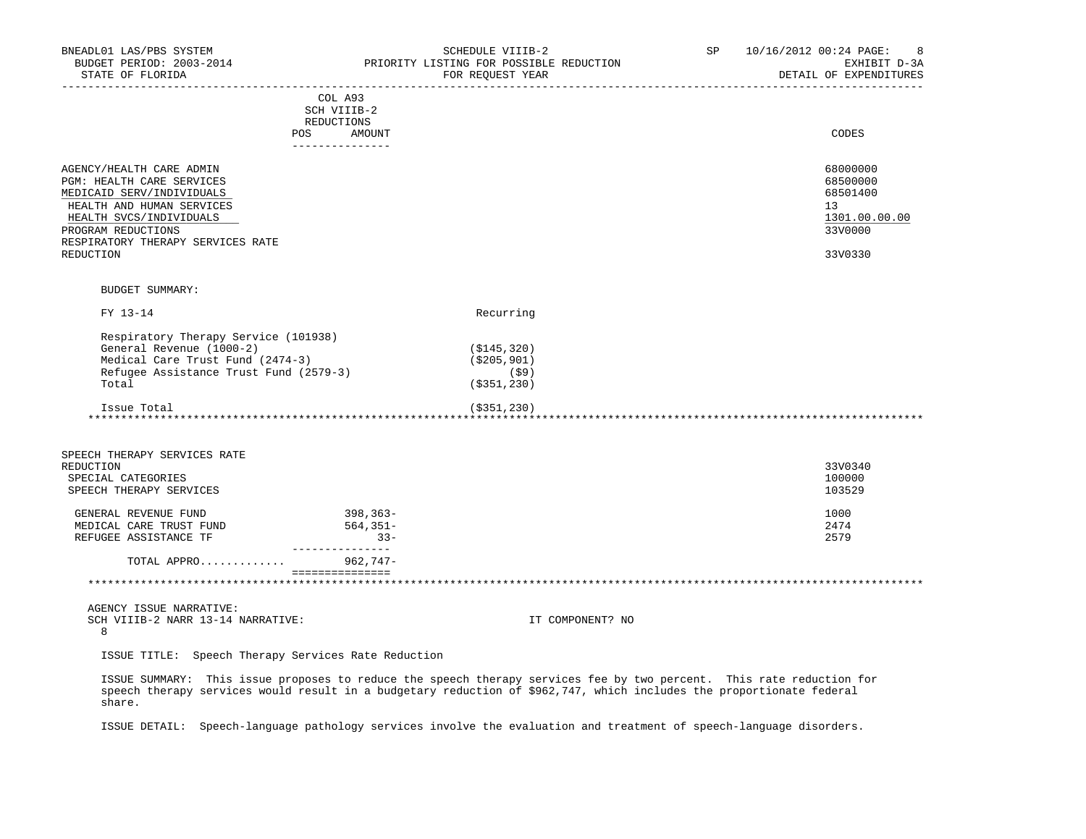| BNEADL01 LAS/PBS SYSTEM<br>BUDGET PERIOD: 2003-2014<br>STATE OF FLORIDA                                                                                                                                            |                                                                       | SCHEDULE VIIIB-2<br>PRIORITY LISTING FOR POSSIBLE REDUCTION<br>FOR REQUEST YEAR                                                                                                                                                              | SP | 10/16/2012 00:24 PAGE:<br>8<br>EXHIBIT D-3A<br>DETAIL OF EXPENDITURES         |
|--------------------------------------------------------------------------------------------------------------------------------------------------------------------------------------------------------------------|-----------------------------------------------------------------------|----------------------------------------------------------------------------------------------------------------------------------------------------------------------------------------------------------------------------------------------|----|-------------------------------------------------------------------------------|
|                                                                                                                                                                                                                    | COL A93<br>SCH VIIIB-2<br>REDUCTIONS<br>POS AMOUNT<br>--------------- |                                                                                                                                                                                                                                              |    | CODES                                                                         |
| AGENCY/HEALTH CARE ADMIN<br>PGM: HEALTH CARE SERVICES<br>MEDICAID SERV/INDIVIDUALS<br>HEALTH AND HUMAN SERVICES<br>HEALTH SVCS/INDIVIDUALS<br>PROGRAM REDUCTIONS<br>RESPIRATORY THERAPY SERVICES RATE<br>REDUCTION |                                                                       |                                                                                                                                                                                                                                              |    | 68000000<br>68500000<br>68501400<br>13<br>1301.00.00.00<br>33V0000<br>33V0330 |
| <b>BUDGET SUMMARY:</b>                                                                                                                                                                                             |                                                                       |                                                                                                                                                                                                                                              |    |                                                                               |
| FY 13-14                                                                                                                                                                                                           |                                                                       | Recurring                                                                                                                                                                                                                                    |    |                                                                               |
| Respiratory Therapy Service (101938)<br>General Revenue (1000-2)<br>Medical Care Trust Fund (2474-3)<br>Refugee Assistance Trust Fund (2579-3)<br>Total                                                            |                                                                       | ( \$145, 320)<br>( \$205, 901)<br>$(\$9)$<br>( \$351, 230)                                                                                                                                                                                   |    |                                                                               |
| Issue Total                                                                                                                                                                                                        |                                                                       | $($ \$351,230)                                                                                                                                                                                                                               |    |                                                                               |
| SPEECH THERAPY SERVICES RATE<br>REDUCTION<br>SPECIAL CATEGORIES<br>SPEECH THERAPY SERVICES<br>GENERAL REVENUE FUND<br>MEDICAL CARE TRUST FUND<br>REFUGEE ASSISTANCE TF                                             | 398,363-<br>564,351-<br>$33 -$                                        |                                                                                                                                                                                                                                              |    | 33V0340<br>100000<br>103529<br>1000<br>2474<br>2579                           |
| TOTAL APPRO                                                                                                                                                                                                        | ________________<br>962,747-                                          |                                                                                                                                                                                                                                              |    |                                                                               |
|                                                                                                                                                                                                                    | ----------------                                                      |                                                                                                                                                                                                                                              |    |                                                                               |
| AGENCY ISSUE NARRATIVE:<br>SCH VIIIB-2 NARR 13-14 NARRATIVE:<br>8                                                                                                                                                  |                                                                       | IT COMPONENT? NO                                                                                                                                                                                                                             |    |                                                                               |
| ISSUE TITLE: Speech Therapy Services Rate Reduction                                                                                                                                                                |                                                                       |                                                                                                                                                                                                                                              |    |                                                                               |
| share.                                                                                                                                                                                                             |                                                                       | ISSUE SUMMARY: This issue proposes to reduce the speech therapy services fee by two percent. This rate reduction for<br>speech therapy services would result in a budgetary reduction of \$962,747, which includes the proportionate federal |    |                                                                               |

ISSUE DETAIL: Speech-language pathology services involve the evaluation and treatment of speech-language disorders.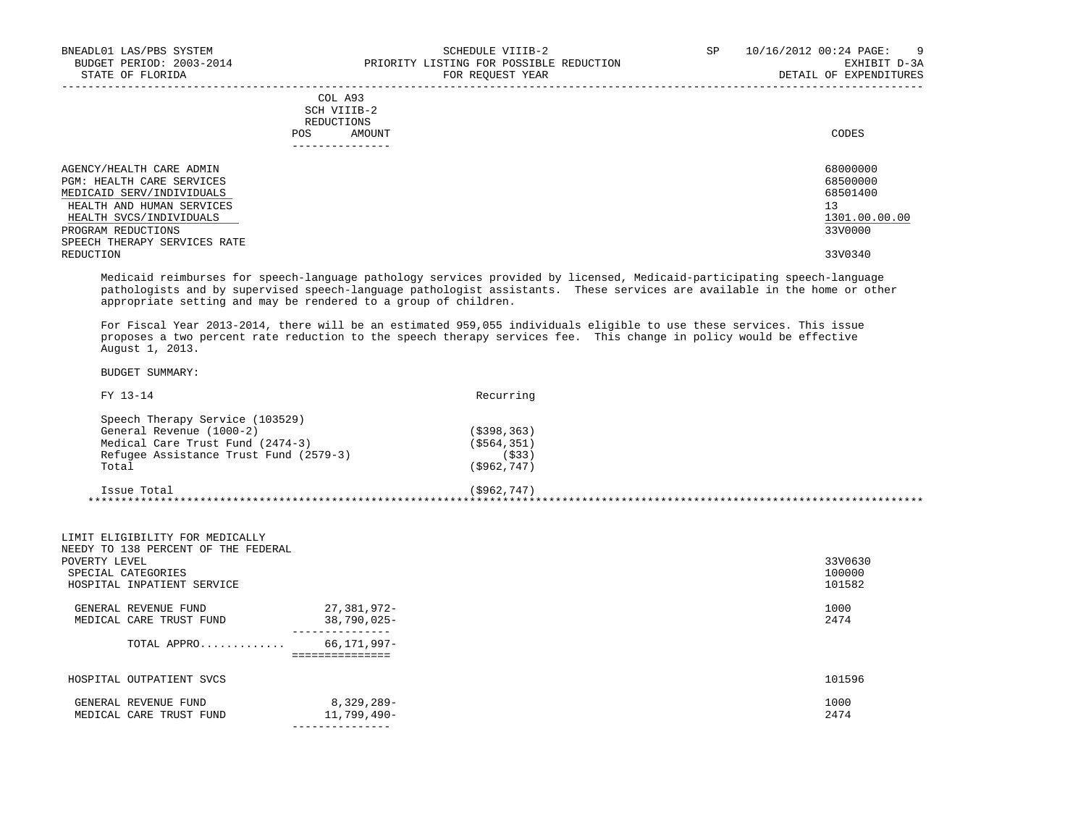|            | COL A93<br>SCH VIIIB-2 |       |
|------------|------------------------|-------|
|            | REDUCTIONS             |       |
| <b>POS</b> | AMOUNT                 | CODES |
|            | ---------------        |       |

| AGENCY/HEALTH CARE ADMIN     | 68000000      |
|------------------------------|---------------|
| PGM: HEALTH CARE SERVICES    | 68500000      |
| MEDICAID SERV/INDIVIDUALS    | 68501400      |
| HEALTH AND HUMAN SERVICES    | 13            |
| HEALTH SVCS/INDIVIDUALS      | 1301.00.00.00 |
| PROGRAM REDUCTIONS           | 33V0000       |
| SPEECH THERAPY SERVICES RATE |               |
| REDUCTION                    | 33V0340       |

-----------------------------------------------------------------------------------------------------------------------------------

 Medicaid reimburses for speech-language pathology services provided by licensed, Medicaid-participating speech-language pathologists and by supervised speech-language pathologist assistants. These services are available in the home or other appropriate setting and may be rendered to a group of children.

 For Fiscal Year 2013-2014, there will be an estimated 959,055 individuals eligible to use these services. This issue proposes a two percent rate reduction to the speech therapy services fee. This change in policy would be effective August 1, 2013.

| FY 13-14                               | Recurring     |  |
|----------------------------------------|---------------|--|
| Speech Therapy Service (103529)        |               |  |
| General Revenue (1000-2)               | ( \$398, 363) |  |
| Medical Care Trust Fund (2474-3)       | ( \$564, 351) |  |
| Refugee Assistance Trust Fund (2579-3) | (533)         |  |
| Total                                  | ( \$962, 747) |  |
| Issue Total                            | ( \$962, 747) |  |
|                                        |               |  |

| POVERTY LEVEL | LIMIT ELIGIBILITY FOR MEDICALLY<br>NEEDY TO 138 PERCENT OF THE FEDERAL<br>SPECIAL CATEGORIES<br>HOSPITAL INPATIENT SERVICE |                                                    | 33V0630<br>100000<br>101582 |
|---------------|----------------------------------------------------------------------------------------------------------------------------|----------------------------------------------------|-----------------------------|
|               | GENERAL REVENUE FUND<br>MEDICAL CARE TRUST FUND                                                                            | 27,381,972-<br>38,790,025-                         | 1000<br>2474                |
|               | TOTAL APPRO                                                                                                                | ----------------<br>66,171,997-<br>=============== |                             |
|               | HOSPITAL OUTPATIENT SVCS                                                                                                   |                                                    | 101596                      |
|               | GENERAL REVENUE FUND<br>MEDICAL CARE TRUST FUND                                                                            | 8,329,289-<br>11,799,490-                          | 1000<br>2474                |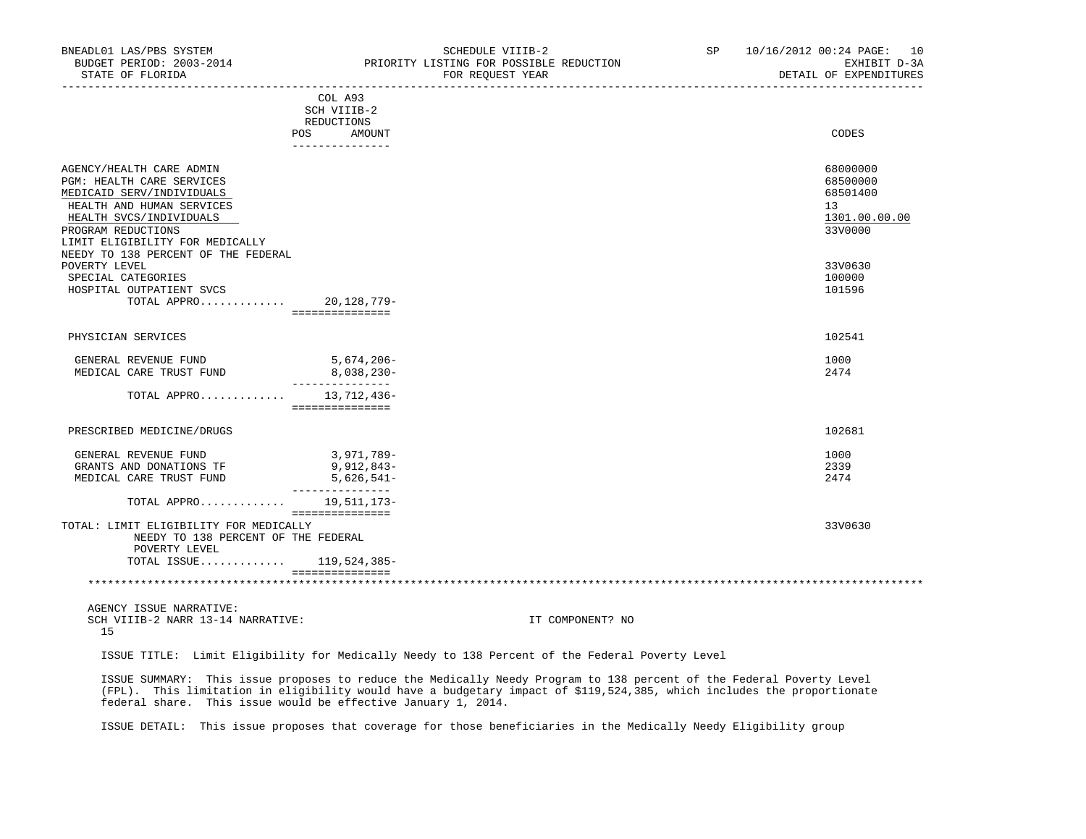| BNEADL01 LAS/PBS SYSTEM<br>BUDGET PERIOD: 2003-2014<br>STATE OF FLORIDA |                                | SCHEDULE VIIIB-2<br>PRIORITY LISTING FOR POSSIBLE REDUCTION<br>FOR REQUEST YEAR | SP | 10/16/2012 00:24 PAGE: 10<br>EXHIBIT D-3A<br>DETAIL OF EXPENDITURES |
|-------------------------------------------------------------------------|--------------------------------|---------------------------------------------------------------------------------|----|---------------------------------------------------------------------|
|                                                                         | COL A93                        |                                                                                 |    |                                                                     |
|                                                                         | SCH VIIIB-2                    |                                                                                 |    |                                                                     |
|                                                                         | REDUCTIONS                     |                                                                                 |    | CODES                                                               |
|                                                                         | POS AMOUNT<br>_______________  |                                                                                 |    |                                                                     |
| AGENCY/HEALTH CARE ADMIN                                                |                                |                                                                                 |    | 68000000                                                            |
| PGM: HEALTH CARE SERVICES                                               |                                |                                                                                 |    | 68500000                                                            |
| MEDICAID SERV/INDIVIDUALS                                               |                                |                                                                                 |    | 68501400                                                            |
| HEALTH AND HUMAN SERVICES                                               |                                |                                                                                 |    | 13                                                                  |
| HEALTH SVCS/INDIVIDUALS                                                 |                                |                                                                                 |    | 1301.00.00.00                                                       |
| PROGRAM REDUCTIONS                                                      |                                |                                                                                 |    | 33V0000                                                             |
| LIMIT ELIGIBILITY FOR MEDICALLY                                         |                                |                                                                                 |    |                                                                     |
| NEEDY TO 138 PERCENT OF THE FEDERAL                                     |                                |                                                                                 |    |                                                                     |
| POVERTY LEVEL                                                           |                                |                                                                                 |    | 33V0630                                                             |
| SPECIAL CATEGORIES                                                      |                                |                                                                                 |    | 100000                                                              |
| HOSPITAL OUTPATIENT SVCS                                                |                                |                                                                                 |    | 101596                                                              |
| TOTAL APPRO 20, 128, 779-                                               |                                |                                                                                 |    |                                                                     |
|                                                                         | ===============                |                                                                                 |    |                                                                     |
| PHYSICIAN SERVICES                                                      |                                |                                                                                 |    | 102541                                                              |
| GENERAL REVENUE FUND                                                    | 5,674,206-                     |                                                                                 |    | 1000                                                                |
| MEDICAL CARE TRUST FUND                                                 | 8,038,230-                     |                                                                                 |    | 2474                                                                |
|                                                                         | _______________                |                                                                                 |    |                                                                     |
| TOTAL APPRO 13,712,436-                                                 | ===============                |                                                                                 |    |                                                                     |
|                                                                         |                                |                                                                                 |    |                                                                     |
| PRESCRIBED MEDICINE/DRUGS                                               |                                |                                                                                 |    | 102681                                                              |
| GENERAL REVENUE FUND                                                    | 3,971,789-                     |                                                                                 |    | 1000                                                                |
| GRANTS AND DONATIONS TF                                                 | 9,912,843-                     |                                                                                 |    | 2339                                                                |
| MEDICAL CARE TRUST FUND                                                 | 5,626,541-<br>________________ |                                                                                 |    | 2474                                                                |
| TOTAL APPRO 19,511,173-                                                 |                                |                                                                                 |    |                                                                     |
| TOTAL: LIMIT ELIGIBILITY FOR MEDICALLY                                  | ===============                |                                                                                 |    | 33V0630                                                             |
| NEEDY TO 138 PERCENT OF THE FEDERAL<br>POVERTY LEVEL                    |                                |                                                                                 |    |                                                                     |
| TOTAL ISSUE 119,524,385-                                                |                                |                                                                                 |    |                                                                     |
|                                                                         | ===============                |                                                                                 |    |                                                                     |
|                                                                         |                                |                                                                                 |    |                                                                     |
| AGENCY ISSUE NARRATIVE:                                                 |                                |                                                                                 |    |                                                                     |

SCH VIIIB-2 NARR 13-14 NARRATIVE: IT COMPONENT? NO 15

ISSUE TITLE: Limit Eligibility for Medically Needy to 138 Percent of the Federal Poverty Level

 ISSUE SUMMARY: This issue proposes to reduce the Medically Needy Program to 138 percent of the Federal Poverty Level (FPL). This limitation in eligibility would have a budgetary impact of \$119,524,385, which includes the proportionate federal share. This issue would be effective January 1, 2014.

ISSUE DETAIL: This issue proposes that coverage for those beneficiaries in the Medically Needy Eligibility group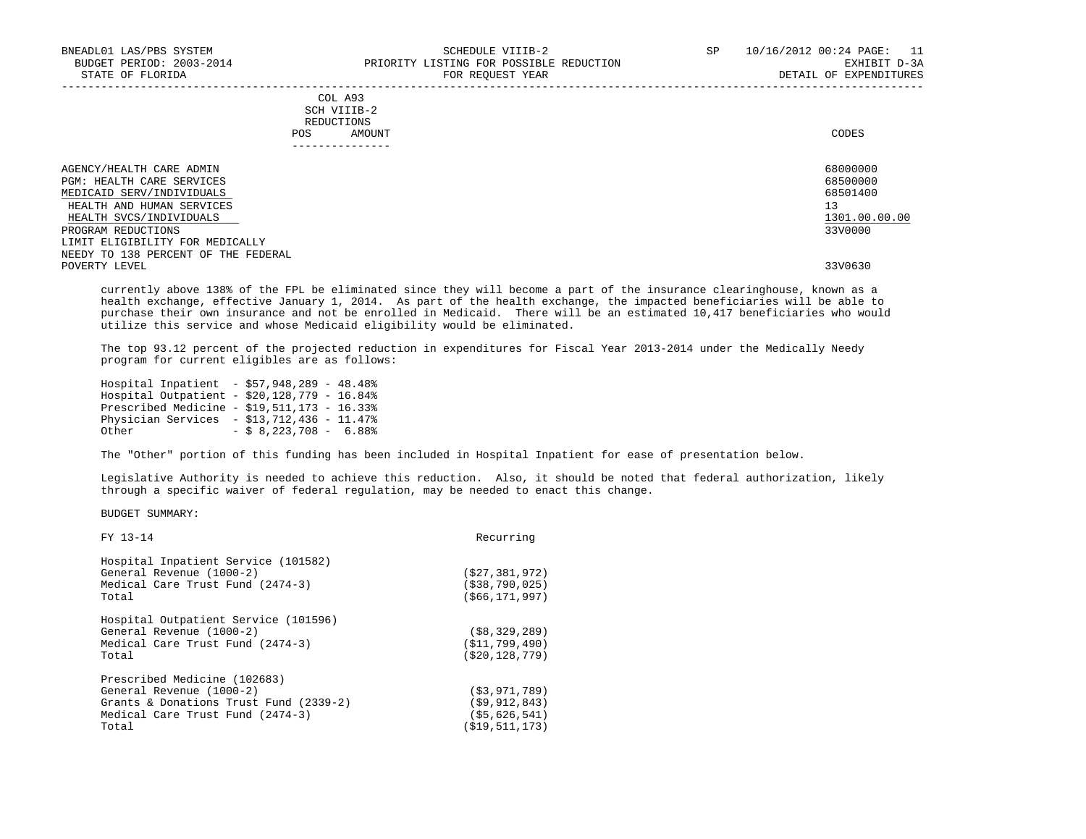| AGENCY/HEALTH CARE ADMIN            | 68000000      |
|-------------------------------------|---------------|
| <b>PGM: HEALTH CARE SERVICES</b>    | 68500000      |
| MEDICAID SERV/INDIVIDUALS           | 68501400      |
| HEALTH AND HUMAN SERVICES           | 13            |
| HEALTH SVCS/INDIVIDUALS             | 1301.00.00.00 |
| PROGRAM REDUCTIONS                  | 33V0000       |
| LIMIT ELIGIBILITY FOR MEDICALLY     |               |
| NEEDY TO 138 PERCENT OF THE FEDERAL |               |
| POVERTY LEVEL                       | 33V0630       |
|                                     |               |

 currently above 138% of the FPL be eliminated since they will become a part of the insurance clearinghouse, known as a health exchange, effective January 1, 2014. As part of the health exchange, the impacted beneficiaries will be able to purchase their own insurance and not be enrolled in Medicaid. There will be an estimated 10,417 beneficiaries who would utilize this service and whose Medicaid eligibility would be eliminated.

 The top 93.12 percent of the projected reduction in expenditures for Fiscal Year 2013-2014 under the Medically Needy program for current eligibles are as follows:

|       | Hospital Inpatient - \$57,948,289 - 48.48%  |                          |  |
|-------|---------------------------------------------|--------------------------|--|
|       | Hospital Outpatient - \$20,128,779 - 16.84% |                          |  |
|       | Prescribed Medicine - $$19.511.173 - 16.33$ |                          |  |
|       | Physician Services $- $13.712.436 - 11.478$ |                          |  |
| Other |                                             | $-$ \$ 8,223,708 - 6.88% |  |

The "Other" portion of this funding has been included in Hospital Inpatient for ease of presentation below.

 Legislative Authority is needed to achieve this reduction. Also, it should be noted that federal authorization, likely through a specific waiver of federal regulation, may be needed to enact this change.

| FY 13-14                                                                                                                                        | Recurring                                                              |
|-------------------------------------------------------------------------------------------------------------------------------------------------|------------------------------------------------------------------------|
| Hospital Inpatient Service (101582)<br>General Revenue (1000-2)<br>Medical Care Trust Fund (2474-3)<br>Total                                    | (527, 381, 972)<br>( \$38, 790, 025)<br>(566, 171, 997)                |
| Hospital Outpatient Service (101596)<br>General Revenue (1000-2)<br>Medical Care Trust Fund (2474-3)<br>Total                                   | (S8, 329, 289)<br>(S11,799,490)<br>( \$20, 128, 779)                   |
| Prescribed Medicine (102683)<br>General Revenue (1000-2)<br>Grants & Donations Trust Fund (2339-2)<br>Medical Care Trust Fund (2474-3)<br>Total | ( \$3, 971, 789)<br>(59, 912, 843)<br>(55, 626, 541)<br>(\$19,511,173) |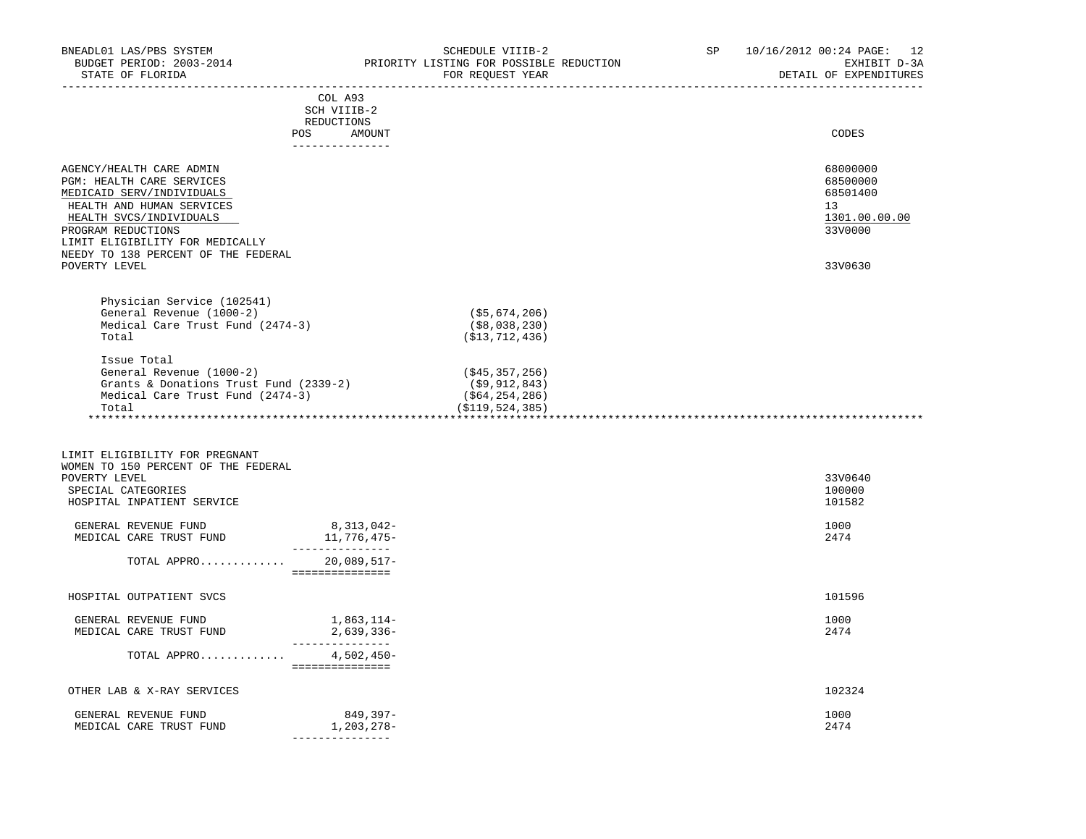| BNEADL01 LAS/PBS SYSTEM                                               |                                  | SCHEDULE VIIIB-2                        | SP | 10/16/2012 00:24 PAGE: 12 |
|-----------------------------------------------------------------------|----------------------------------|-----------------------------------------|----|---------------------------|
| BUDGET PERIOD: 2003-2014                                              |                                  | PRIORITY LISTING FOR POSSIBLE REDUCTION |    | EXHIBIT D-3A              |
| STATE OF FLORIDA                                                      |                                  | FOR REQUEST YEAR                        |    | DETAIL OF EXPENDITURES    |
|                                                                       |                                  |                                         |    |                           |
|                                                                       | COL A93                          |                                         |    |                           |
|                                                                       | SCH VIIIB-2<br>REDUCTIONS        |                                         |    |                           |
|                                                                       | POS AMOUNT                       |                                         |    | CODES                     |
|                                                                       | _______________                  |                                         |    |                           |
|                                                                       |                                  |                                         |    |                           |
| AGENCY/HEALTH CARE ADMIN                                              |                                  |                                         |    | 68000000                  |
| PGM: HEALTH CARE SERVICES                                             |                                  |                                         |    | 68500000                  |
| MEDICAID SERV/INDIVIDUALS                                             |                                  |                                         |    | 68501400                  |
| HEALTH AND HUMAN SERVICES                                             |                                  |                                         |    | 13                        |
| HEALTH SVCS/INDIVIDUALS                                               |                                  |                                         |    | 1301.00.00.00             |
| PROGRAM REDUCTIONS                                                    |                                  |                                         |    | 33V0000                   |
| LIMIT ELIGIBILITY FOR MEDICALLY                                       |                                  |                                         |    |                           |
| NEEDY TO 138 PERCENT OF THE FEDERAL<br>POVERTY LEVEL                  |                                  |                                         |    | 33V0630                   |
|                                                                       |                                  |                                         |    |                           |
|                                                                       |                                  |                                         |    |                           |
| Physician Service (102541)                                            |                                  |                                         |    |                           |
| General Revenue (1000-2)                                              |                                  | (\$5,674,206)                           |    |                           |
| Medical Care Trust Fund (2474-3)                                      |                                  | ( \$8,038,230)                          |    |                           |
| Total                                                                 |                                  | ( \$13, 712, 436)                       |    |                           |
| Issue Total                                                           |                                  |                                         |    |                           |
| General Revenue (1000-2)                                              |                                  | (\$45,357,256)                          |    |                           |
| Grants & Donations Trust Fund (2339-2)                                |                                  | (\$9,912,843)                           |    |                           |
| Medical Care Trust Fund (2474-3)                                      |                                  | (\$64,254,286)                          |    |                           |
| Total                                                                 |                                  | (\$119,524,385)                         |    |                           |
|                                                                       |                                  |                                         |    |                           |
|                                                                       |                                  |                                         |    |                           |
|                                                                       |                                  |                                         |    |                           |
| LIMIT ELIGIBILITY FOR PREGNANT<br>WOMEN TO 150 PERCENT OF THE FEDERAL |                                  |                                         |    |                           |
| POVERTY LEVEL                                                         |                                  |                                         |    | 33V0640                   |
| SPECIAL CATEGORIES                                                    |                                  |                                         |    | 100000                    |
| HOSPITAL INPATIENT SERVICE                                            |                                  |                                         |    | 101582                    |
|                                                                       |                                  |                                         |    |                           |
| GENERAL REVENUE FUND                                                  | 8,313,042-                       |                                         |    | 1000                      |
| MEDICAL CARE TRUST FUND                                               | 11,776,475–                      |                                         |    | 2474                      |
|                                                                       | _______________                  |                                         |    |                           |
| TOTAL APPRO                                                           | $20,089,517-$<br>=============== |                                         |    |                           |
|                                                                       |                                  |                                         |    |                           |
| HOSPITAL OUTPATIENT SVCS                                              |                                  |                                         |    | 101596                    |
|                                                                       |                                  |                                         |    |                           |
| GENERAL REVENUE FUND                                                  | 1,863,114-                       |                                         |    | 1000                      |
| MEDICAL CARE TRUST FUND                                               | $2,639,336-$<br>---------------  |                                         |    | 2474                      |
| TOTAL APPRO                                                           | 4,502,450-                       |                                         |    |                           |
|                                                                       | ===============                  |                                         |    |                           |
|                                                                       |                                  |                                         |    |                           |
| OTHER LAB & X-RAY SERVICES                                            |                                  |                                         |    | 102324                    |
|                                                                       |                                  |                                         |    |                           |
| GENERAL REVENUE FUND                                                  | 849,397-                         |                                         |    | 1000                      |
| MEDICAL CARE TRUST FUND                                               | 1,203,278-                       |                                         |    | 2474                      |
|                                                                       | ________________                 |                                         |    |                           |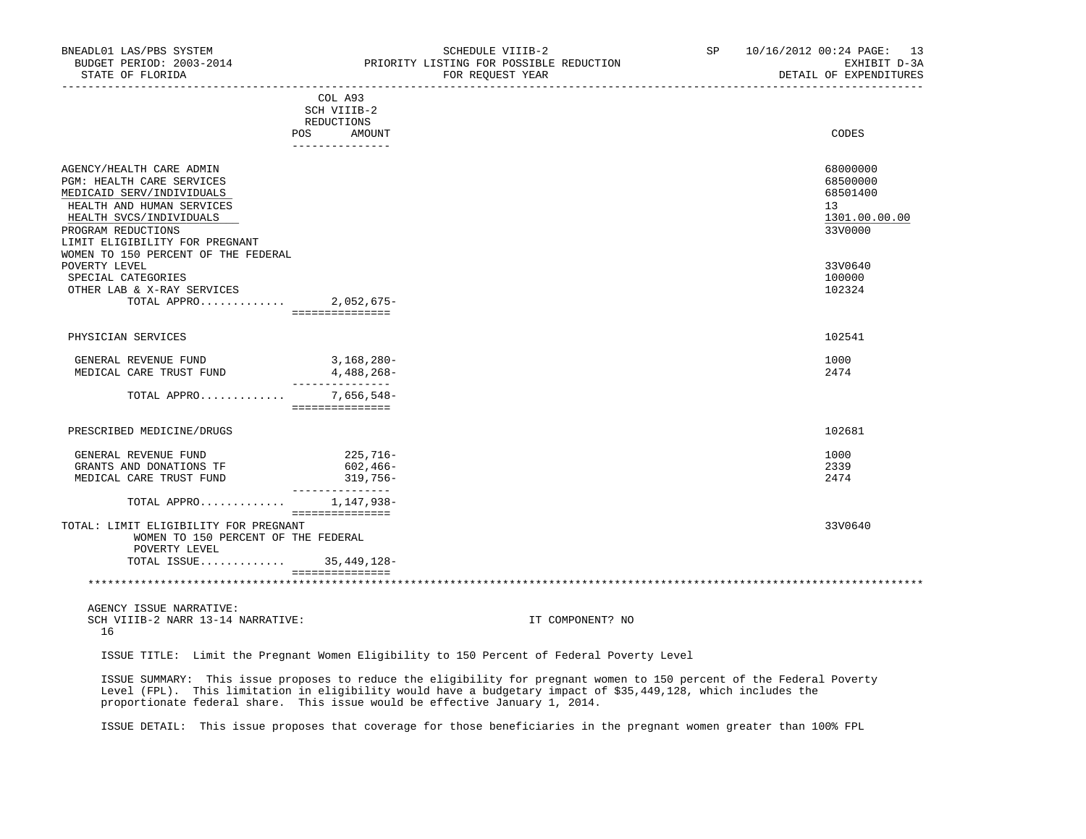| BNEADL01 LAS/PBS SYSTEM<br>BUDGET PERIOD: 2003-2014<br>STATE OF FLORIDA<br>_______________ |                                                  | SCHEDULE VIIIB-2<br>PRIORITY LISTING FOR POSSIBLE REDUCTION<br>FOR REQUEST YEAR | SP and the set of the set of the set of the set of the set of the set of the set of the set of the set of the set of the set of the set of the set of the set of the set of the set of the set of the set of the set of the se | 10/16/2012 00:24 PAGE: 13<br>EXHIBIT D-3A<br>DETAIL OF EXPENDITURES |
|--------------------------------------------------------------------------------------------|--------------------------------------------------|---------------------------------------------------------------------------------|--------------------------------------------------------------------------------------------------------------------------------------------------------------------------------------------------------------------------------|---------------------------------------------------------------------|
|                                                                                            | COL A93<br>SCH VIIIB-2                           |                                                                                 |                                                                                                                                                                                                                                |                                                                     |
|                                                                                            | REDUCTIONS                                       |                                                                                 |                                                                                                                                                                                                                                |                                                                     |
|                                                                                            | POS AMOUNT                                       |                                                                                 |                                                                                                                                                                                                                                | CODES                                                               |
|                                                                                            | ---------------                                  |                                                                                 |                                                                                                                                                                                                                                |                                                                     |
|                                                                                            |                                                  |                                                                                 |                                                                                                                                                                                                                                |                                                                     |
| AGENCY/HEALTH CARE ADMIN<br>PGM: HEALTH CARE SERVICES                                      |                                                  |                                                                                 |                                                                                                                                                                                                                                | 68000000<br>68500000                                                |
| MEDICAID SERV/INDIVIDUALS                                                                  |                                                  |                                                                                 |                                                                                                                                                                                                                                | 68501400                                                            |
| HEALTH AND HUMAN SERVICES                                                                  |                                                  |                                                                                 |                                                                                                                                                                                                                                | 13                                                                  |
| HEALTH SVCS/INDIVIDUALS                                                                    |                                                  |                                                                                 |                                                                                                                                                                                                                                | 1301.00.00.00                                                       |
| PROGRAM REDUCTIONS                                                                         |                                                  |                                                                                 |                                                                                                                                                                                                                                | 33V0000                                                             |
| LIMIT ELIGIBILITY FOR PREGNANT                                                             |                                                  |                                                                                 |                                                                                                                                                                                                                                |                                                                     |
| WOMEN TO 150 PERCENT OF THE FEDERAL                                                        |                                                  |                                                                                 |                                                                                                                                                                                                                                |                                                                     |
| POVERTY LEVEL                                                                              |                                                  |                                                                                 |                                                                                                                                                                                                                                | 33V0640                                                             |
| SPECIAL CATEGORIES                                                                         |                                                  |                                                                                 |                                                                                                                                                                                                                                | 100000                                                              |
| OTHER LAB & X-RAY SERVICES                                                                 |                                                  |                                                                                 |                                                                                                                                                                                                                                | 102324                                                              |
| TOTAL APPRO 2,052,675-                                                                     |                                                  |                                                                                 |                                                                                                                                                                                                                                |                                                                     |
|                                                                                            | ===============                                  |                                                                                 |                                                                                                                                                                                                                                |                                                                     |
| PHYSICIAN SERVICES                                                                         |                                                  |                                                                                 |                                                                                                                                                                                                                                | 102541                                                              |
| GENERAL REVENUE FUND                                                                       | $3,168,280-$                                     |                                                                                 |                                                                                                                                                                                                                                | 1000                                                                |
| MEDICAL CARE TRUST FUND                                                                    | 4,488,268-                                       |                                                                                 |                                                                                                                                                                                                                                | 2474                                                                |
| TOTAL APPRO                                                                                | _______________<br>7,656,548–<br>=============== |                                                                                 |                                                                                                                                                                                                                                |                                                                     |
| PRESCRIBED MEDICINE/DRUGS                                                                  |                                                  |                                                                                 |                                                                                                                                                                                                                                | 102681                                                              |
|                                                                                            |                                                  |                                                                                 |                                                                                                                                                                                                                                |                                                                     |
| GENERAL REVENUE FUND                                                                       | 225,716-                                         |                                                                                 |                                                                                                                                                                                                                                | 1000                                                                |
| GRANTS AND DONATIONS TF                                                                    | 602,466-                                         |                                                                                 |                                                                                                                                                                                                                                | 2339                                                                |
| MEDICAL CARE TRUST FUND                                                                    | 319,756-<br>----------------                     |                                                                                 |                                                                                                                                                                                                                                | 2474                                                                |
| TOTAL APPRO                                                                                | 1,147,938-<br>===============                    |                                                                                 |                                                                                                                                                                                                                                |                                                                     |
| TOTAL: LIMIT ELIGIBILITY FOR PREGNANT                                                      |                                                  |                                                                                 |                                                                                                                                                                                                                                | 33V0640                                                             |
| WOMEN TO 150 PERCENT OF THE FEDERAL                                                        |                                                  |                                                                                 |                                                                                                                                                                                                                                |                                                                     |
| POVERTY LEVEL                                                                              |                                                  |                                                                                 |                                                                                                                                                                                                                                |                                                                     |
| TOTAL ISSUE 35,449,128-                                                                    |                                                  |                                                                                 |                                                                                                                                                                                                                                |                                                                     |
|                                                                                            | ================                                 |                                                                                 |                                                                                                                                                                                                                                |                                                                     |
| AGENCY ISSUE NARRATIVE:                                                                    |                                                  |                                                                                 |                                                                                                                                                                                                                                |                                                                     |
| SCH VIIIB-2 NARR 13-14 NARRATIVE:<br>16                                                    |                                                  | IT COMPONENT? NO                                                                |                                                                                                                                                                                                                                |                                                                     |

ISSUE TITLE: Limit the Pregnant Women Eligibility to 150 Percent of Federal Poverty Level

 ISSUE SUMMARY: This issue proposes to reduce the eligibility for pregnant women to 150 percent of the Federal Poverty Level (FPL). This limitation in eligibility would have a budgetary impact of \$35,449,128, which includes the proportionate federal share. This issue would be effective January 1, 2014.

ISSUE DETAIL: This issue proposes that coverage for those beneficiaries in the pregnant women greater than 100% FPL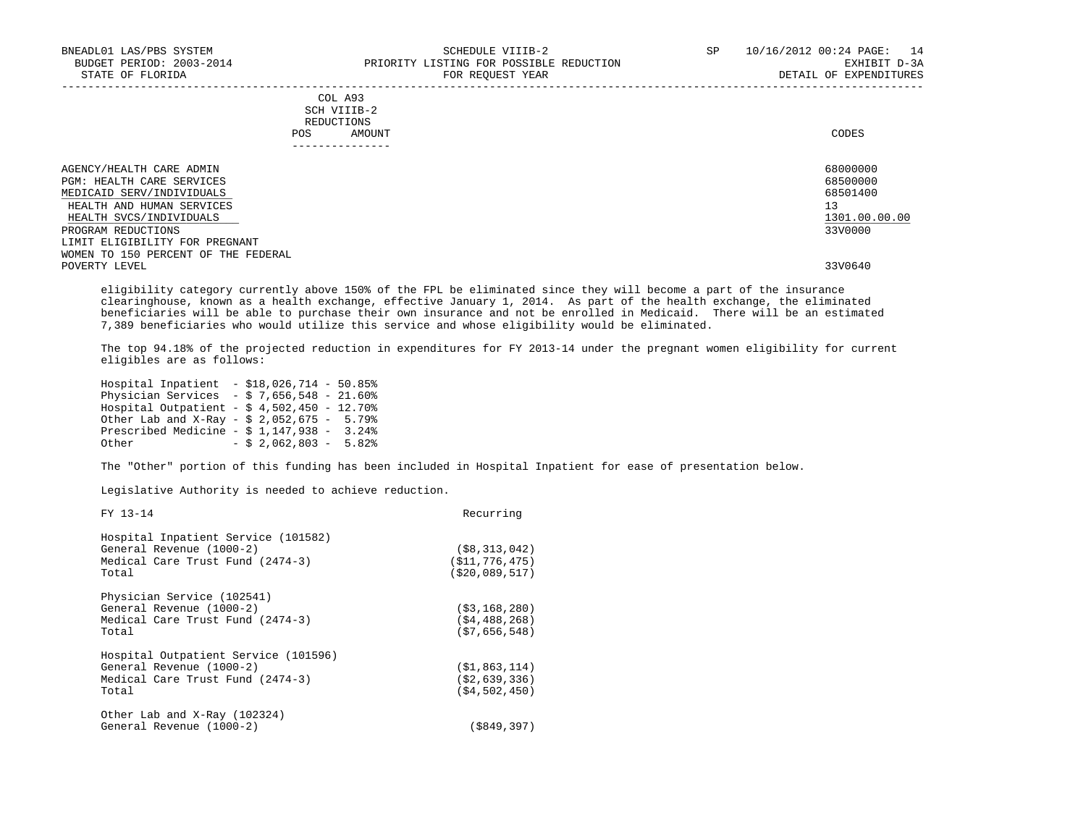| BNEADL01 LAS/PBS SYSTEM<br>BUDGET PERIOD: 2003-2014<br>STATE OF FLORIDA                                         | SCHEDULE VIIIB-2<br>PRIORITY LISTING FOR POSSIBLE REDUCTION<br>FOR REOUEST YEAR | 10/16/2012 00:24 PAGE: 14<br>SP.<br>EXHIBIT D-3A<br>DETAIL OF EXPENDITURES |
|-----------------------------------------------------------------------------------------------------------------|---------------------------------------------------------------------------------|----------------------------------------------------------------------------|
|                                                                                                                 | COL A93<br>SCH VIIIB-2<br>REDUCTIONS<br>POS<br>AMOUNT<br>-------------          | CODES                                                                      |
| AGENCY/HEALTH CARE ADMIN<br>PGM: HEALTH CARE SERVICES<br>MEDICAID SERV/INDIVIDUALS<br>HEALTH AND HUMAN SERVICES |                                                                                 | 68000000<br>68500000<br>68501400<br>13                                     |

HEALTH SVCS/INDIVIDUALS 1301.00.00.00 EXCREMENT SYCS/INDIVIDUALS 1301.00.00.00 EXCREMENT SYCS/INDIVIDUALS 1301.00.00 EXCREMENT SYCS/INDIVIDUALS 1300.00 EXCREMENT SYCS/INDIVIDUALS 130000 EXCREMENT SYCS PROGRAM REDUCTIONS LIMIT ELIGIBILITY FOR PREGNANT WOMEN TO 150 PERCENT OF THE FEDERAL<br>POVERTY LEVEL POVERTY LEVEL 33V0640

 eligibility category currently above 150% of the FPL be eliminated since they will become a part of the insurance clearinghouse, known as a health exchange, effective January 1, 2014. As part of the health exchange, the eliminated beneficiaries will be able to purchase their own insurance and not be enrolled in Medicaid. There will be an estimated 7,389 beneficiaries who would utilize this service and whose eligibility would be eliminated.

 The top 94.18% of the projected reduction in expenditures for FY 2013-14 under the pregnant women eligibility for current eligibles are as follows:

 Hospital Inpatient - \$18,026,714 - 50.85% Physician Services - \$ 7,656,548 - 21.60% Hospital Outpatient - \$ 4,502,450 - 12.70% Other Lab and X-Ray - \$ 2,052,675 - 5.79% Prescribed Medicine - \$ 1,147,938 - 3.24%<br>Other - \$ 2.062.803 - 5.82%  $-$  \$ 2,062,803 - 5.82%

The "Other" portion of this funding has been included in Hospital Inpatient for ease of presentation below.

Legislative Authority is needed to achieve reduction.

| FY 13-14                                                                                                      | Recurring                                              |
|---------------------------------------------------------------------------------------------------------------|--------------------------------------------------------|
| Hospital Inpatient Service (101582)<br>General Revenue (1000-2)<br>Medical Care Trust Fund (2474-3)<br>Total  | $($ \$8,313,042)<br>(S11, 776, 475)<br>( \$20,089,517) |
| Physician Service (102541)<br>General Revenue (1000-2)<br>Medical Care Trust Fund (2474-3)<br>Total           | ( \$3, 168, 280)<br>(S4, 488, 268)<br>(57, 656, 548)   |
| Hospital Outpatient Service (101596)<br>General Revenue (1000-2)<br>Medical Care Trust Fund (2474-3)<br>Total | ( \$1, 863, 114)<br>( \$2,639,336)<br>( \$4, 502, 450) |
| Other Lab and X-Ray (102324)<br>General Revenue (1000-2)                                                      | (\$849,397)                                            |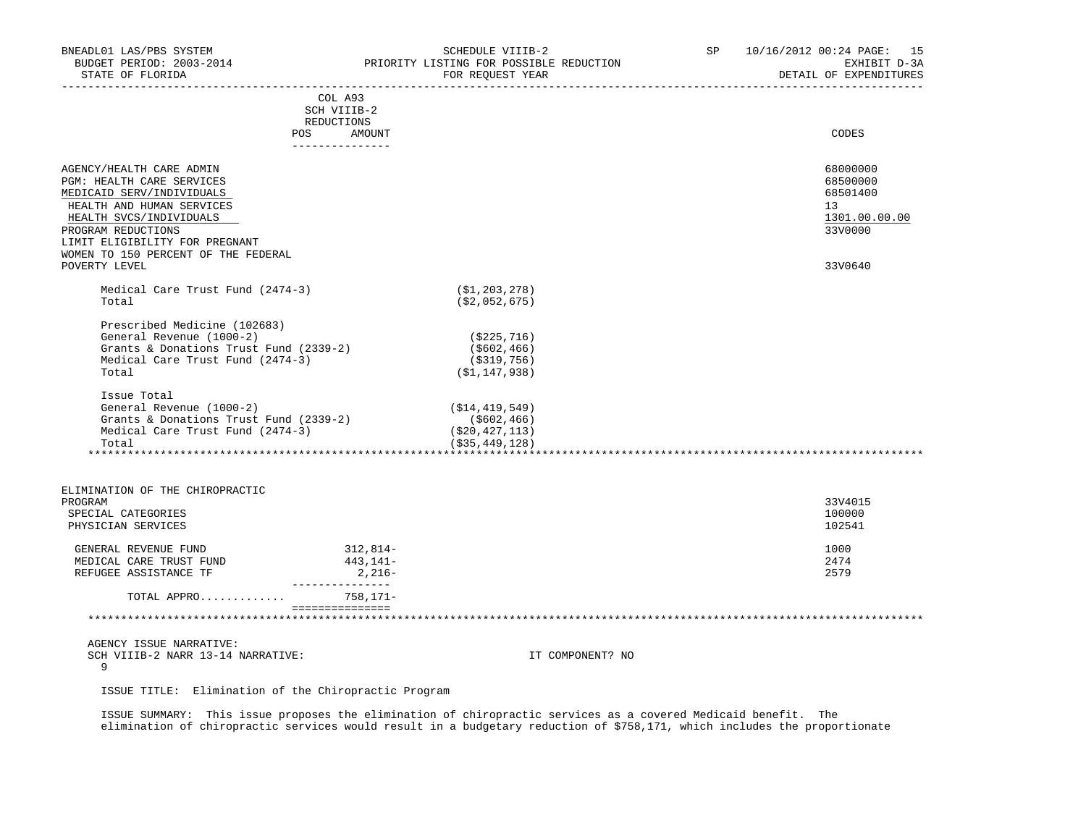| BNEADL01 LAS/PBS SYSTEM<br>BUDGET PERIOD: 2003-2014<br>STATE OF FLORIDA                                                                                                                                                                   |                                                                                              | SCHEDULE VIIIB-2<br>PRIORITY LISTING FOR POSSIBLE REDUCTION<br>FOR REQUEST YEAR | SP <sub>2</sub> | 10/16/2012 00:24 PAGE: 15<br>EXHIBIT D-3A<br>DETAIL OF EXPENDITURES |
|-------------------------------------------------------------------------------------------------------------------------------------------------------------------------------------------------------------------------------------------|----------------------------------------------------------------------------------------------|---------------------------------------------------------------------------------|-----------------|---------------------------------------------------------------------|
|                                                                                                                                                                                                                                           | ______________________________________<br>COL A93<br>SCH VIIIB-2<br>REDUCTIONS<br>POS AMOUNT |                                                                                 |                 | CODES                                                               |
|                                                                                                                                                                                                                                           | ---------------                                                                              |                                                                                 |                 |                                                                     |
| AGENCY/HEALTH CARE ADMIN<br>PGM: HEALTH CARE SERVICES<br>MEDICAID SERV/INDIVIDUALS<br>HEALTH AND HUMAN SERVICES<br>HEALTH SVCS/INDIVIDUALS<br>PROGRAM REDUCTIONS<br>LIMIT ELIGIBILITY FOR PREGNANT<br>WOMEN TO 150 PERCENT OF THE FEDERAL |                                                                                              |                                                                                 |                 | 68000000<br>68500000<br>68501400<br>13<br>1301.00.00.00<br>33V0000  |
| POVERTY LEVEL                                                                                                                                                                                                                             |                                                                                              |                                                                                 |                 | 33V0640                                                             |
| Medical Care Trust Fund (2474-3)<br>Total                                                                                                                                                                                                 |                                                                                              | ( \$1, 203, 278 )<br>( \$2,052,675)                                             |                 |                                                                     |
| Prescribed Medicine (102683)<br>General Revenue (1000-2)<br>Grants & Donations Trust Fund (2339-2)<br>Medical Care Trust Fund (2474-3)<br>Total                                                                                           |                                                                                              | (\$225,716)<br>(\$602,466)<br>(\$319,756)<br>(\$1,147,938)                      |                 |                                                                     |
| Issue Total<br>General Revenue (1000-2)<br>Grants & Donations Trust Fund (2339-2)<br>Medical Care Trust Fund $(2474-3)$<br>Total                                                                                                          |                                                                                              | (\$14,419,549)<br>(\$602,466)<br>(\$20,427,113)<br>(\$35,449,128)               |                 |                                                                     |
|                                                                                                                                                                                                                                           |                                                                                              |                                                                                 |                 |                                                                     |
| ELIMINATION OF THE CHIROPRACTIC<br>PROGRAM<br>SPECIAL CATEGORIES<br>PHYSICIAN SERVICES                                                                                                                                                    |                                                                                              |                                                                                 |                 | 33V4015<br>100000<br>102541                                         |
| GENERAL REVENUE FUND<br>MEDICAL CARE TRUST FUND<br>REFUGEE ASSISTANCE TF                                                                                                                                                                  | 312,814-<br>443,141-<br>$2,216-$<br>---------------                                          |                                                                                 |                 | 1000<br>2474<br>2579                                                |
| TOTAL APPRO                                                                                                                                                                                                                               | 758,171-                                                                                     |                                                                                 |                 |                                                                     |
|                                                                                                                                                                                                                                           | ________________________                                                                     |                                                                                 |                 |                                                                     |
| AGENCY ISSUE NARRATIVE:<br>SCH VIIIB-2 NARR 13-14 NARRATIVE:<br>9                                                                                                                                                                         |                                                                                              | IT COMPONENT? NO                                                                |                 |                                                                     |
| ISSUE TITLE: Elimination of the Chiropractic Program                                                                                                                                                                                      |                                                                                              |                                                                                 |                 |                                                                     |
|                                                                                                                                                                                                                                           | .                                                                                            |                                                                                 | .               |                                                                     |

 ISSUE SUMMARY: This issue proposes the elimination of chiropractic services as a covered Medicaid benefit. The elimination of chiropractic services would result in a budgetary reduction of \$758,171, which includes the proportionate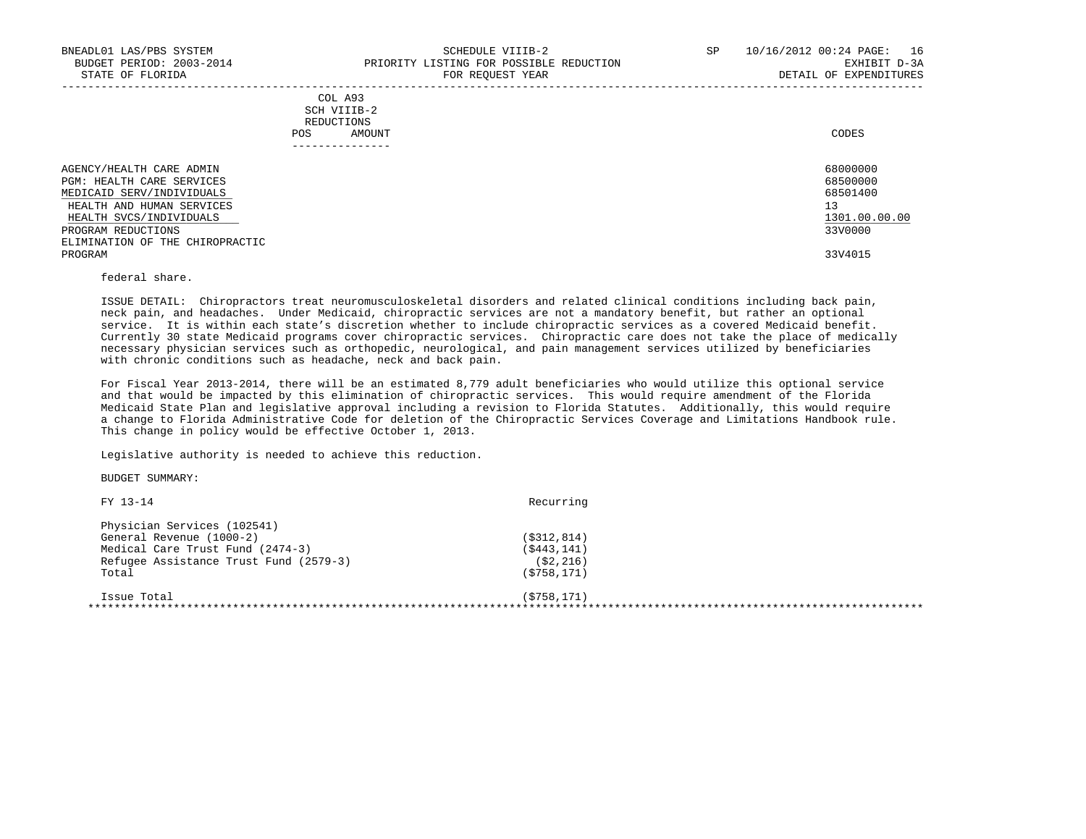|                                                                                                                                            | COL A93<br>SCH VIIIB-2<br>REDUCTIONS<br>AMOUNT<br>POS.<br>------------- | CODES                                                   |
|--------------------------------------------------------------------------------------------------------------------------------------------|-------------------------------------------------------------------------|---------------------------------------------------------|
| AGENCY/HEALTH CARE ADMIN<br>PGM: HEALTH CARE SERVICES<br>MEDICAID SERV/INDIVIDUALS<br>HEALTH AND HUMAN SERVICES<br>HEALTH SVCS/INDIVIDUALS |                                                                         | 68000000<br>68500000<br>68501400<br>13<br>1301.00.00.00 |
| PROGRAM REDUCTIONS<br>ELIMINATION OF THE CHIROPRACTIC                                                                                      |                                                                         | 33V0000                                                 |
| PROGRAM                                                                                                                                    |                                                                         | 33V4015                                                 |

## federal share.

 ISSUE DETAIL: Chiropractors treat neuromusculoskeletal disorders and related clinical conditions including back pain, neck pain, and headaches. Under Medicaid, chiropractic services are not a mandatory benefit, but rather an optional service. It is within each state's discretion whether to include chiropractic services as a covered Medicaid benefit. Currently 30 state Medicaid programs cover chiropractic services. Chiropractic care does not take the place of medically necessary physician services such as orthopedic, neurological, and pain management services utilized by beneficiaries with chronic conditions such as headache, neck and back pain.

 For Fiscal Year 2013-2014, there will be an estimated 8,779 adult beneficiaries who would utilize this optional service and that would be impacted by this elimination of chiropractic services. This would require amendment of the Florida Medicaid State Plan and legislative approval including a revision to Florida Statutes. Additionally, this would require a change to Florida Administrative Code for deletion of the Chiropractic Services Coverage and Limitations Handbook rule. This change in policy would be effective October 1, 2013.

Legislative authority is needed to achieve this reduction.

| FY 13-14                               | Recurring     |  |
|----------------------------------------|---------------|--|
| Physician Services (102541)            |               |  |
| General Revenue (1000-2)               | ( \$312, 814) |  |
| Medical Care Trust Fund (2474-3)       | ( \$443, 141) |  |
| Refugee Assistance Trust Fund (2579-3) | ( \$2, 216)   |  |
| Total                                  | ( \$758, 171) |  |
| Issue Total                            | ( \$758, 171) |  |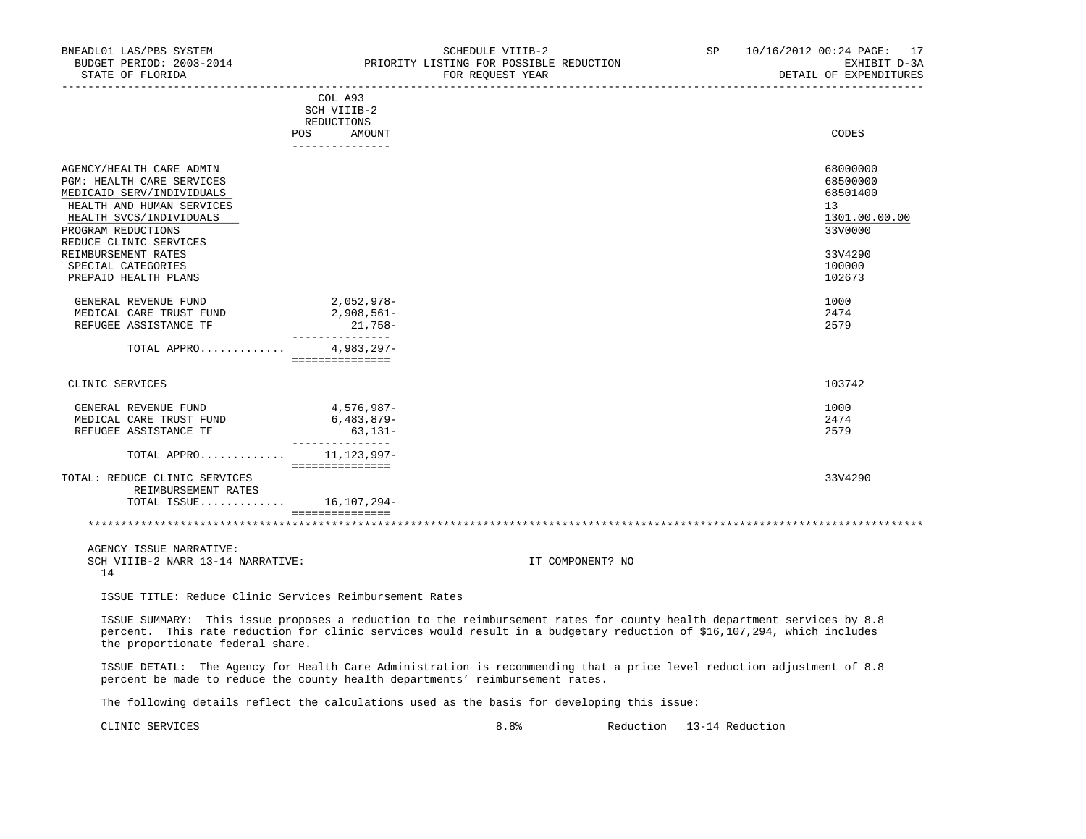| BNEADL01 LAS/PBS SYSTEM<br>BUDGET PERIOD: 2003-2014 PRIORITY LISTING FOR POSSIBLE REDUCTION<br>STATE OF FLORIDA                                                                            | SCHEDULE VIIIB-2<br>FOR REQUEST YEAR                                                                                                                                                                                                             | SP and the set of the set of the set of the set of the set of the set of the set of the set of the set of the set of the set of the set of the set of the set of the set of the set of the set of the set of the set of the se | 10/16/2012 00:24 PAGE: 17<br>DETAIL OF EXPENDITURES                |
|--------------------------------------------------------------------------------------------------------------------------------------------------------------------------------------------|--------------------------------------------------------------------------------------------------------------------------------------------------------------------------------------------------------------------------------------------------|--------------------------------------------------------------------------------------------------------------------------------------------------------------------------------------------------------------------------------|--------------------------------------------------------------------|
|                                                                                                                                                                                            | COL A93<br>SCH VIIIB-2<br>REDUCTIONS<br>POS FOR<br>AMOUNT<br>_______________                                                                                                                                                                     |                                                                                                                                                                                                                                | CODES                                                              |
| AGENCY/HEALTH CARE ADMIN<br>PGM: HEALTH CARE SERVICES<br>MEDICAID SERV/INDIVIDUALS<br>HEALTH AND HUMAN SERVICES<br>HEALTH SVCS/INDIVIDUALS<br>PROGRAM REDUCTIONS<br>REDUCE CLINIC SERVICES |                                                                                                                                                                                                                                                  |                                                                                                                                                                                                                                | 68000000<br>68500000<br>68501400<br>13<br>1301.00.00.00<br>33V0000 |
| REIMBURSEMENT RATES<br>SPECIAL CATEGORIES<br>PREPAID HEALTH PLANS                                                                                                                          |                                                                                                                                                                                                                                                  |                                                                                                                                                                                                                                | 33V4290<br>100000<br>102673                                        |
| GENERAL REVENUE FUND<br>MEDICAL CARE TRUST FUND<br>REFUGEE ASSISTANCE TF                                                                                                                   | 2,052,978-<br>$2,908,561-$<br>$21,758-$                                                                                                                                                                                                          |                                                                                                                                                                                                                                | 1000<br>2474<br>2579                                               |
| TOTAL APPRO                                                                                                                                                                                | _______________<br>4,983,297-<br>===============                                                                                                                                                                                                 |                                                                                                                                                                                                                                |                                                                    |
| CLINIC SERVICES                                                                                                                                                                            |                                                                                                                                                                                                                                                  |                                                                                                                                                                                                                                | 103742                                                             |
| GENERAL REVENUE FUND 4,576,987-<br>MEDICAL CARE TRUST FUND<br>REFUGEE ASSISTANCE TF                                                                                                        | 6,483,879-<br>63,131-<br>________________                                                                                                                                                                                                        |                                                                                                                                                                                                                                | 1000<br>2474<br>2579                                               |
| TOTAL APPRO 11,123,997-                                                                                                                                                                    | ===============                                                                                                                                                                                                                                  |                                                                                                                                                                                                                                |                                                                    |
| TOTAL: REDUCE CLINIC SERVICES<br>REIMBURSEMENT RATES<br>TOTAL ISSUE 16, 107, 294-                                                                                                          |                                                                                                                                                                                                                                                  |                                                                                                                                                                                                                                | 33V4290                                                            |
|                                                                                                                                                                                            | ================                                                                                                                                                                                                                                 |                                                                                                                                                                                                                                |                                                                    |
| AGENCY ISSUE NARRATIVE:<br>SCH VIIIB-2 NARR 13-14 NARRATIVE:<br>14                                                                                                                         |                                                                                                                                                                                                                                                  | IT COMPONENT? NO                                                                                                                                                                                                               |                                                                    |
| ISSUE TITLE: Reduce Clinic Services Reimbursement Rates                                                                                                                                    |                                                                                                                                                                                                                                                  |                                                                                                                                                                                                                                |                                                                    |
| the proportionate federal share.                                                                                                                                                           | ISSUE SUMMARY: This issue proposes a reduction to the reimbursement rates for county health department services by 8.8<br>percent. This rate reduction for clinic services would result in a budgetary reduction of \$16,107,294, which includes |                                                                                                                                                                                                                                |                                                                    |
|                                                                                                                                                                                            | ISSUE DETAIL: The Agency for Health Care Administration is recommending that a price level reduction adjustment of 8.8<br>percent be made to reduce the county health departments' reimbursement rates.                                          |                                                                                                                                                                                                                                |                                                                    |

The following details reflect the calculations used as the basis for developing this issue:

CLINIC SERVICES 8.8% Reduction 13-14 Reduction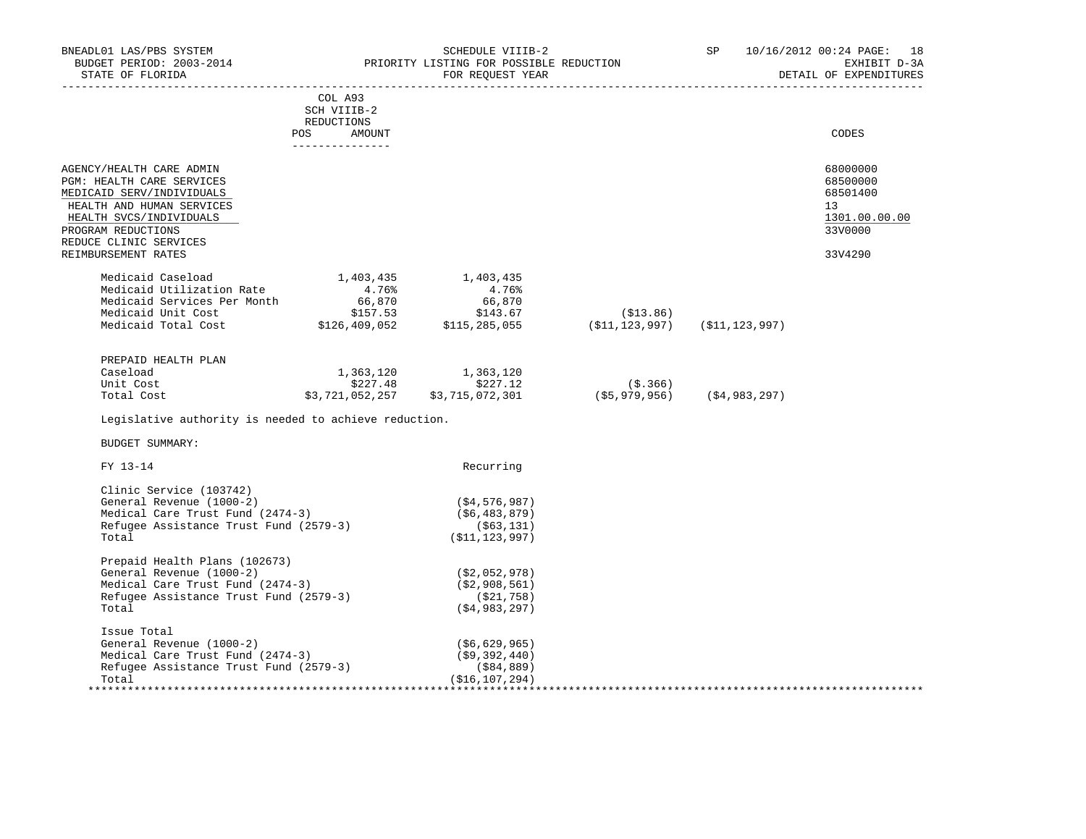| BNEADL01 LAS/PBS SYSTEM<br>EXERCISE THE CONSTRUCTION<br>BUDGET PERIOD: 2003-2014 TRIORITY LISTING FOR POSSIBLE REDUCTION<br>STATE OF FLORIDA |                                  | SCHEDULE VIIIB-2<br>FOR REQUEST YEAR                                                   |                                         | SP <sub>2</sub> | 10/16/2012 00:24 PAGE: 18<br>EXHIBIT D-3A<br>DETAIL OF EXPENDITURES |
|----------------------------------------------------------------------------------------------------------------------------------------------|----------------------------------|----------------------------------------------------------------------------------------|-----------------------------------------|-----------------|---------------------------------------------------------------------|
|                                                                                                                                              | COL A93<br>SCH VIIIB-2           |                                                                                        |                                         |                 |                                                                     |
|                                                                                                                                              | REDUCTIONS                       |                                                                                        |                                         |                 |                                                                     |
|                                                                                                                                              | POS<br>AMOUNT<br>--------------- |                                                                                        |                                         |                 | CODES                                                               |
|                                                                                                                                              |                                  |                                                                                        |                                         |                 |                                                                     |
| AGENCY/HEALTH CARE ADMIN<br>PGM: HEALTH CARE SERVICES                                                                                        |                                  |                                                                                        |                                         |                 | 68000000<br>68500000                                                |
| MEDICAID SERV/INDIVIDUALS                                                                                                                    |                                  |                                                                                        |                                         |                 | 68501400                                                            |
| HEALTH AND HUMAN SERVICES                                                                                                                    |                                  |                                                                                        |                                         |                 | 13                                                                  |
| HEALTH SVCS/INDIVIDUALS                                                                                                                      |                                  |                                                                                        |                                         |                 | 1301.00.00.00                                                       |
| PROGRAM REDUCTIONS                                                                                                                           |                                  |                                                                                        |                                         |                 | 33V0000                                                             |
| REDUCE CLINIC SERVICES                                                                                                                       |                                  |                                                                                        |                                         |                 |                                                                     |
| REIMBURSEMENT RATES                                                                                                                          |                                  |                                                                                        |                                         |                 | 33V4290                                                             |
| Medicaid Caseload<br>Medicaid Utilization Rate                                                                                               | 1,403,435                        | 1,403,435                                                                              |                                         |                 |                                                                     |
|                                                                                                                                              | $4.76%$<br>66,870                | 4.76%                                                                                  |                                         |                 |                                                                     |
| Medicaid Utilization<br>Medicaid Services Per Month (66,870)<br>\$157.53                                                                     |                                  | 66,870                                                                                 |                                         |                 |                                                                     |
| Medicaid Total Cost \$126,409,052                                                                                                            |                                  | \$143.67<br>143.07 (11,123,097) (11,123,997)<br>(11,123,997) (11,123,997) (11,123,997) | (S13.86)                                |                 |                                                                     |
|                                                                                                                                              |                                  |                                                                                        |                                         |                 |                                                                     |
| PREPAID HEALTH PLAN                                                                                                                          |                                  |                                                                                        |                                         |                 |                                                                     |
| Caseload                                                                                                                                     | 1,363,120                        | 1,363,120                                                                              |                                         |                 |                                                                     |
| Unit Cost                                                                                                                                    | \$227.48                         | \$227.12                                                                               |                                         |                 |                                                                     |
| Total Cost                                                                                                                                   | \$3,721,052,257                  | \$3,715,072,301                                                                        | (\$.366)<br>(\$5,979,956) (\$4,983,297) |                 |                                                                     |
| Legislative authority is needed to achieve reduction.                                                                                        |                                  |                                                                                        |                                         |                 |                                                                     |
| <b>BUDGET SUMMARY:</b>                                                                                                                       |                                  |                                                                                        |                                         |                 |                                                                     |
| FY 13-14                                                                                                                                     |                                  | Recurring                                                                              |                                         |                 |                                                                     |
| Clinic Service (103742)                                                                                                                      |                                  |                                                                                        |                                         |                 |                                                                     |
| General Revenue (1000-2)                                                                                                                     |                                  | (\$4,576,987)                                                                          |                                         |                 |                                                                     |
| Medical Care Trust Fund (2474-3)                                                                                                             |                                  | (\$6,483,879)                                                                          |                                         |                 |                                                                     |
| Refugee Assistance Trust Fund (2579-3)                                                                                                       |                                  | $($ \$63,131)                                                                          |                                         |                 |                                                                     |
| Total                                                                                                                                        |                                  | ( \$11, 123, 997)                                                                      |                                         |                 |                                                                     |
| Prepaid Health Plans (102673)                                                                                                                |                                  |                                                                                        |                                         |                 |                                                                     |
| General Revenue (1000-2)                                                                                                                     |                                  | (\$2,052,978)                                                                          |                                         |                 |                                                                     |
| Medical Care Trust Fund (2474-3)                                                                                                             |                                  | (\$2,908,561)                                                                          |                                         |                 |                                                                     |
| Refugee Assistance Trust Fund (2579-3)                                                                                                       |                                  | (\$21,758)                                                                             |                                         |                 |                                                                     |
| Total                                                                                                                                        |                                  | ( \$4, 983, 297)                                                                       |                                         |                 |                                                                     |
| Issue Total                                                                                                                                  |                                  |                                                                                        |                                         |                 |                                                                     |
| General Revenue (1000-2)                                                                                                                     |                                  | (\$6,629,965)                                                                          |                                         |                 |                                                                     |
| Medical Care Trust Fund (2474-3)                                                                                                             |                                  | ( \$9,392,440)                                                                         |                                         |                 |                                                                     |
| Refugee Assistance Trust Fund (2579-3)<br>Total                                                                                              |                                  | (\$84,889)<br>(\$16,107,294)                                                           |                                         |                 |                                                                     |
|                                                                                                                                              |                                  |                                                                                        |                                         |                 |                                                                     |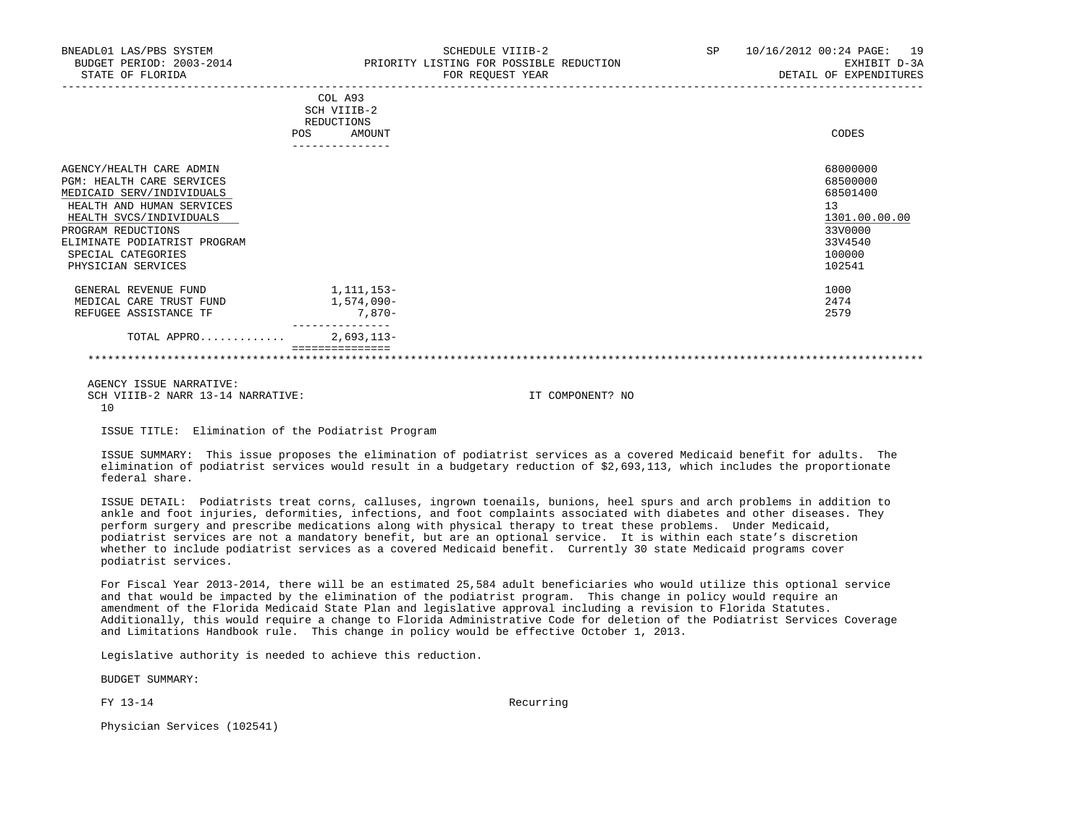| BNEADL01 LAS/PBS SYSTEM<br>BUDGET PERIOD: 2003-2014<br>STATE OF FLORIDA                                                                                                                                                                             | SCHEDULE VIIIB-2<br>PRIORITY LISTING FOR POSSIBLE REDUCTION<br>FOR REOUEST YEAR | 10/16/2012 00:24 PAGE: 19<br>SP<br>EXHIBIT D-3A<br>DETAIL OF EXPENDITURES                         |
|-----------------------------------------------------------------------------------------------------------------------------------------------------------------------------------------------------------------------------------------------------|---------------------------------------------------------------------------------|---------------------------------------------------------------------------------------------------|
|                                                                                                                                                                                                                                                     | COL A93<br>SCH VIIIB-2<br>REDUCTIONS<br><b>POS</b><br>AMOUNT                    | CODES                                                                                             |
| AGENCY/HEALTH CARE ADMIN<br><b>PGM: HEALTH CARE SERVICES</b><br>MEDICAID SERV/INDIVIDUALS<br>HEALTH AND HUMAN SERVICES<br>HEALTH SVCS/INDIVIDUALS<br>PROGRAM REDUCTIONS<br>ELIMINATE PODIATRIST PROGRAM<br>SPECIAL CATEGORIES<br>PHYSICIAN SERVICES |                                                                                 | 68000000<br>68500000<br>68501400<br>13<br>1301.00.00.00<br>33V0000<br>33V4540<br>100000<br>102541 |
| GENERAL REVENUE FUND<br>MEDICAL CARE TRUST FUND<br>REFUGEE ASSISTANCE TF                                                                                                                                                                            | 1,111,153-<br>1,574,090-<br>7,870-                                              | 1000<br>2474<br>2579                                                                              |
| TOTAL APPRO                                                                                                                                                                                                                                         | $2,693,113-$                                                                    |                                                                                                   |
|                                                                                                                                                                                                                                                     |                                                                                 |                                                                                                   |

 AGENCY ISSUE NARRATIVE: SCH VIIIB-2 NARR 13-14 NARRATIVE: IT COMPONENT? NO 10

ISSUE TITLE: Elimination of the Podiatrist Program

 ISSUE SUMMARY: This issue proposes the elimination of podiatrist services as a covered Medicaid benefit for adults. The elimination of podiatrist services would result in a budgetary reduction of \$2,693,113, which includes the proportionate federal share.

 ISSUE DETAIL: Podiatrists treat corns, calluses, ingrown toenails, bunions, heel spurs and arch problems in addition to ankle and foot injuries, deformities, infections, and foot complaints associated with diabetes and other diseases. They perform surgery and prescribe medications along with physical therapy to treat these problems. Under Medicaid, podiatrist services are not a mandatory benefit, but are an optional service. It is within each state's discretion whether to include podiatrist services as a covered Medicaid benefit. Currently 30 state Medicaid programs cover podiatrist services.

 For Fiscal Year 2013-2014, there will be an estimated 25,584 adult beneficiaries who would utilize this optional service and that would be impacted by the elimination of the podiatrist program. This change in policy would require an amendment of the Florida Medicaid State Plan and legislative approval including a revision to Florida Statutes. Additionally, this would require a change to Florida Administrative Code for deletion of the Podiatrist Services Coverage and Limitations Handbook rule. This change in policy would be effective October 1, 2013.

Legislative authority is needed to achieve this reduction.

BUDGET SUMMARY:

FY 13-14 Recurring

Physician Services (102541)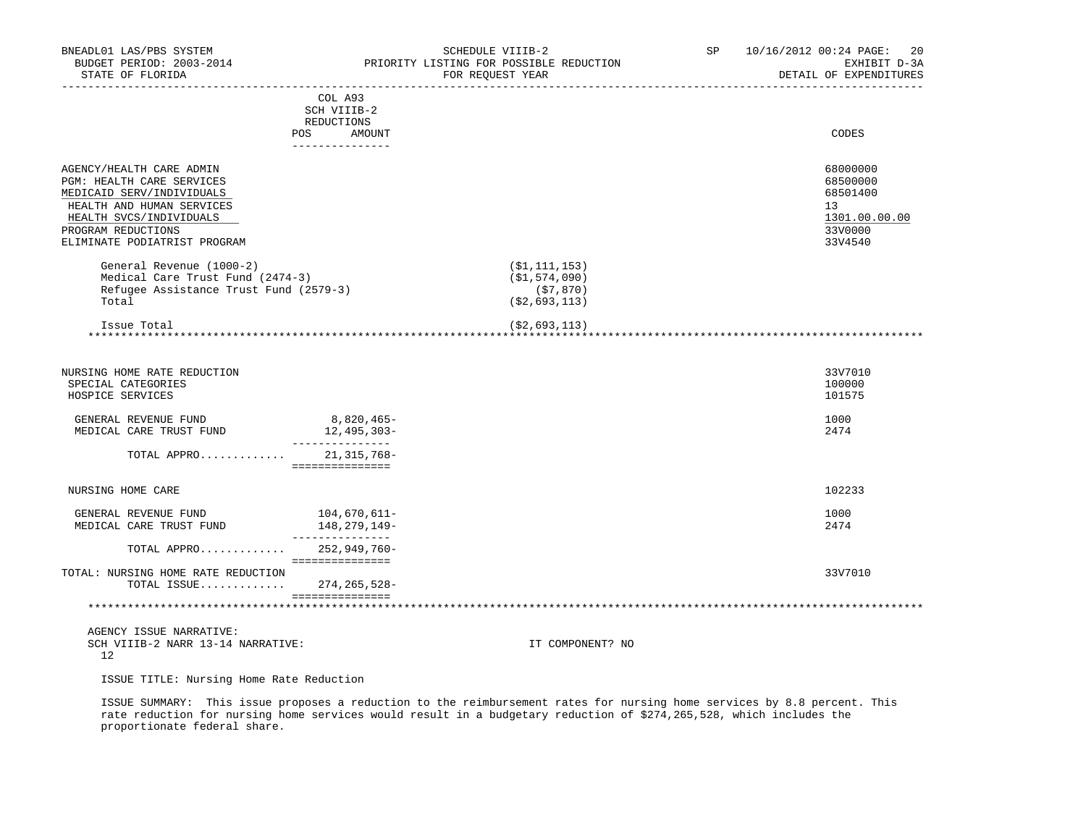| BNEADL01 LAS/PBS SYSTEM<br>BUDGET PERIOD: 2003-2014<br>STATE OF FLORIDA<br>_________________                                                                                                     |                                                                       | SCHEDULE VIIIB-2<br>PRIORITY LISTING FOR POSSIBLE REDUCTION<br>FOR REOUEST YEAR | SP <sub>2</sub> | 10/16/2012 00:24 PAGE:<br>20<br>EXHIBIT D-3A<br>DETAIL OF EXPENDITURES                     |
|--------------------------------------------------------------------------------------------------------------------------------------------------------------------------------------------------|-----------------------------------------------------------------------|---------------------------------------------------------------------------------|-----------------|--------------------------------------------------------------------------------------------|
|                                                                                                                                                                                                  | COL A93<br>SCH VIIIB-2<br>REDUCTIONS<br>POS AMOUNT<br>--------------- |                                                                                 |                 | CODES                                                                                      |
| AGENCY/HEALTH CARE ADMIN<br>PGM: HEALTH CARE SERVICES<br>MEDICAID SERV/INDIVIDUALS<br>HEALTH AND HUMAN SERVICES<br>HEALTH SVCS/INDIVIDUALS<br>PROGRAM REDUCTIONS<br>ELIMINATE PODIATRIST PROGRAM |                                                                       |                                                                                 |                 | 68000000<br>68500000<br>68501400<br>13 <sup>°</sup><br>1301.00.00.00<br>33V0000<br>33V4540 |
| General Revenue (1000-2)<br>Medical Care Trust Fund (2474-3)<br>Refugee Assistance Trust Fund (2579-3)<br>Total                                                                                  |                                                                       | ( \$1, 111, 153)<br>(\$1,574,090)<br>(\$7,870)<br>( \$2,693,113)                |                 |                                                                                            |
| Issue Total                                                                                                                                                                                      |                                                                       | ( \$2,693,113)                                                                  |                 |                                                                                            |
| NURSING HOME RATE REDUCTION<br>SPECIAL CATEGORIES<br>HOSPICE SERVICES                                                                                                                            |                                                                       |                                                                                 |                 | 33V7010<br>100000<br>101575                                                                |
| GENERAL REVENUE FUND<br>MEDICAL CARE TRUST FUND                                                                                                                                                  | 8,820,465-<br>12,495,303-<br>_______________                          |                                                                                 |                 | 1000<br>2474                                                                               |
| TOTAL APPRO                                                                                                                                                                                      | 21,315,768-<br>===============                                        |                                                                                 |                 |                                                                                            |
| NURSING HOME CARE                                                                                                                                                                                |                                                                       |                                                                                 |                 | 102233                                                                                     |
| GENERAL REVENUE FUND<br>MEDICAL CARE TRUST FUND                                                                                                                                                  | 104,670,611-<br>148,279,149-<br>_______________                       |                                                                                 |                 | 1000<br>2474                                                                               |
| TOTAL APPRO 252,949,760-                                                                                                                                                                         | ===============                                                       |                                                                                 |                 |                                                                                            |
| TOTAL: NURSING HOME RATE REDUCTION<br>TOTAL ISSUE $274, 265, 528 -$                                                                                                                              |                                                                       |                                                                                 |                 | 33V7010                                                                                    |
|                                                                                                                                                                                                  | <b>Boodeddeddedded</b>                                                |                                                                                 |                 |                                                                                            |
| AGENCY ISSUE NARRATIVE:<br>SCH VIIIB-2 NARR 13-14 NARRATIVE:<br>12                                                                                                                               |                                                                       | IT COMPONENT? NO                                                                |                 |                                                                                            |

ISSUE TITLE: Nursing Home Rate Reduction

 ISSUE SUMMARY: This issue proposes a reduction to the reimbursement rates for nursing home services by 8.8 percent. This rate reduction for nursing home services would result in a budgetary reduction of \$274,265,528, which includes the proportionate federal share.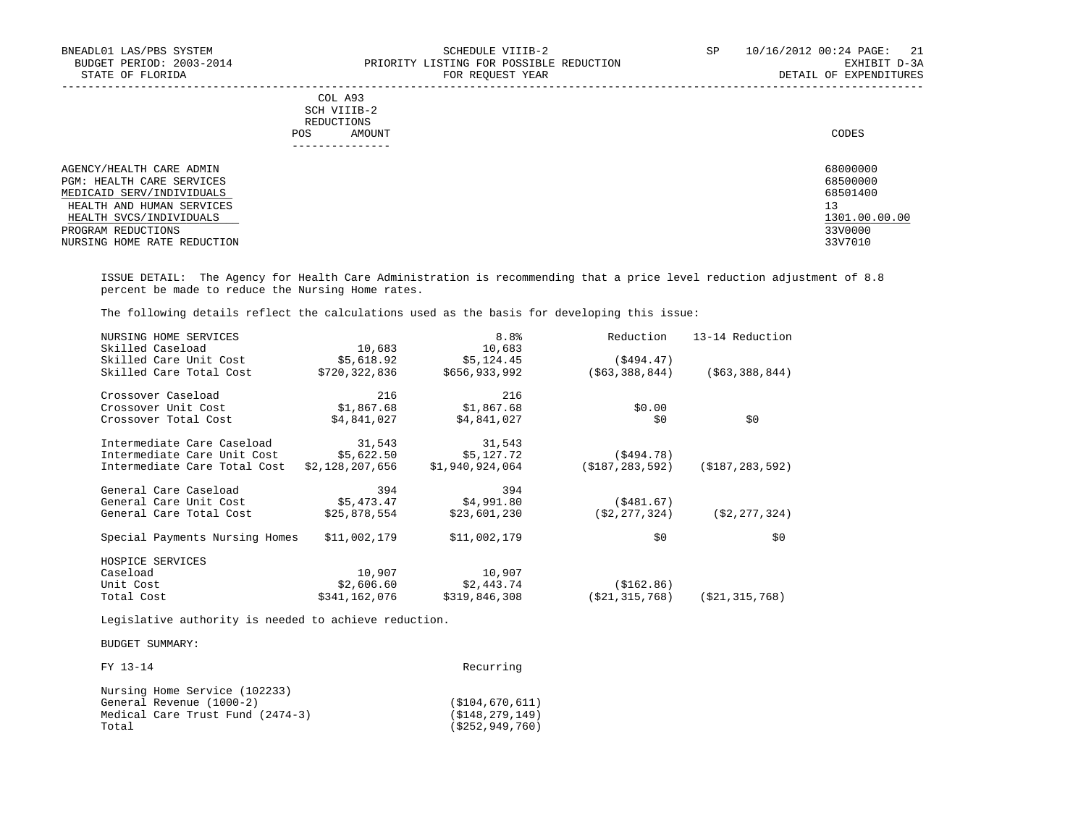| BNEADL01 LAS/PBS SYSTEM<br>BUDGET PERIOD: 2003-2014<br>STATE OF FLORIDA | SCHEDULE VIIIB-2<br>PRIORITY LISTING FOR POSSIBLE REDUCTION<br>FOR REOUEST YEAR | SP<br>10/16/2012 00:24 PAGE:<br>21<br>EXHIBIT D-3A<br>DETAIL OF EXPENDITURES |
|-------------------------------------------------------------------------|---------------------------------------------------------------------------------|------------------------------------------------------------------------------|
|                                                                         | COL A93<br>SCH VIIIB-2<br>REDUCTIONS                                            |                                                                              |
|                                                                         | AMOUNT<br>POS.                                                                  | CODES                                                                        |
| AGENCY/HEALTH CARE ADMIN                                                |                                                                                 | 68000000                                                                     |
| PGM: HEALTH CARE SERVICES                                               |                                                                                 | 68500000                                                                     |
| MEDICAID SERV/INDIVIDUALS                                               |                                                                                 | 68501400                                                                     |
| HEALTH AND HUMAN SERVICES                                               |                                                                                 | 13                                                                           |
| HEALTH SVCS/INDIVIDUALS                                                 |                                                                                 | 1301.00.00.00                                                                |
| PROGRAM REDUCTIONS                                                      |                                                                                 | 33V0000                                                                      |
| NURSING HOME RATE REDUCTION                                             |                                                                                 | 33V7010                                                                      |

 ISSUE DETAIL: The Agency for Health Care Administration is recommending that a price level reduction adjustment of 8.8 percent be made to reduce the Nursing Home rates.

The following details reflect the calculations used as the basis for developing this issue:

| NURSING HOME SERVICES       |               | 8.8 <sup>°</sup>                                               | Reduction                                             | 13-14 Reduction                                                        |
|-----------------------------|---------------|----------------------------------------------------------------|-------------------------------------------------------|------------------------------------------------------------------------|
| Skilled Caseload            | 10,683        |                                                                |                                                       |                                                                        |
| Skilled Care Unit Cost      | \$5,618.92    | \$5,124.45                                                     | (\$494.47)                                            |                                                                        |
| Skilled Care Total Cost     | \$720,322,836 | \$656,933,992                                                  |                                                       | ( \$63, 388, 844)                                                      |
| Crossover Caseload          | 216           | 216                                                            |                                                       |                                                                        |
| Crossover Unit Cost         | \$1,867.68    | \$1,867.68                                                     | \$0.00                                                |                                                                        |
| Crossover Total Cost        | \$4,841,027   | \$4,841,027                                                    | \$0                                                   | \$0                                                                    |
| Intermediate Care Caseload  | 31,543        | 31,543                                                         |                                                       |                                                                        |
| Intermediate Care Unit Cost |               | \$5,127.72                                                     | (\$494.78)                                            |                                                                        |
|                             |               | \$1,940,924,064                                                |                                                       | ( \$187, 283, 592)                                                     |
| General Care Caseload       | 394           | 394                                                            |                                                       |                                                                        |
| General Care Unit Cost      | \$5,473.47    |                                                                |                                                       |                                                                        |
| General Care Total Cost     | \$25,878,554  | \$23,601,230                                                   |                                                       | ( \$2, 277, 324)                                                       |
|                             | \$11,002,179  | \$11,002,179                                                   | \$0                                                   | \$0                                                                    |
| HOSPICE SERVICES            |               |                                                                |                                                       |                                                                        |
| Caseload                    | 10,907        | 10,907                                                         |                                                       |                                                                        |
| Unit Cost                   | \$2,606.60    | \$2,443.74                                                     | ( \$162.86)                                           |                                                                        |
| Total Cost                  | \$341,162,076 | \$319,846,308                                                  | ( \$21, 315, 768 )                                    | ( \$21, 315, 768)                                                      |
|                             |               | Intermediate Care Total Cost<br>Special Payments Nursing Homes | 10,683<br>\$5,622.50<br>\$2,128,207,656<br>\$4,991.80 | ( \$63, 388, 844)<br>(\$187,283,592)<br>(\$481.67)<br>( \$2, 277, 324) |

Legislative authority is needed to achieve reduction.

BUDGET SUMMARY:

| FY 13-14                                                                                               | Recurring                                                |
|--------------------------------------------------------------------------------------------------------|----------------------------------------------------------|
| Nursing Home Service (102233)<br>General Revenue (1000-2)<br>Medical Care Trust Fund (2474-3)<br>Total | (S104, 670, 611)<br>(S148, 279, 149)<br>(5252, 949, 760) |
|                                                                                                        |                                                          |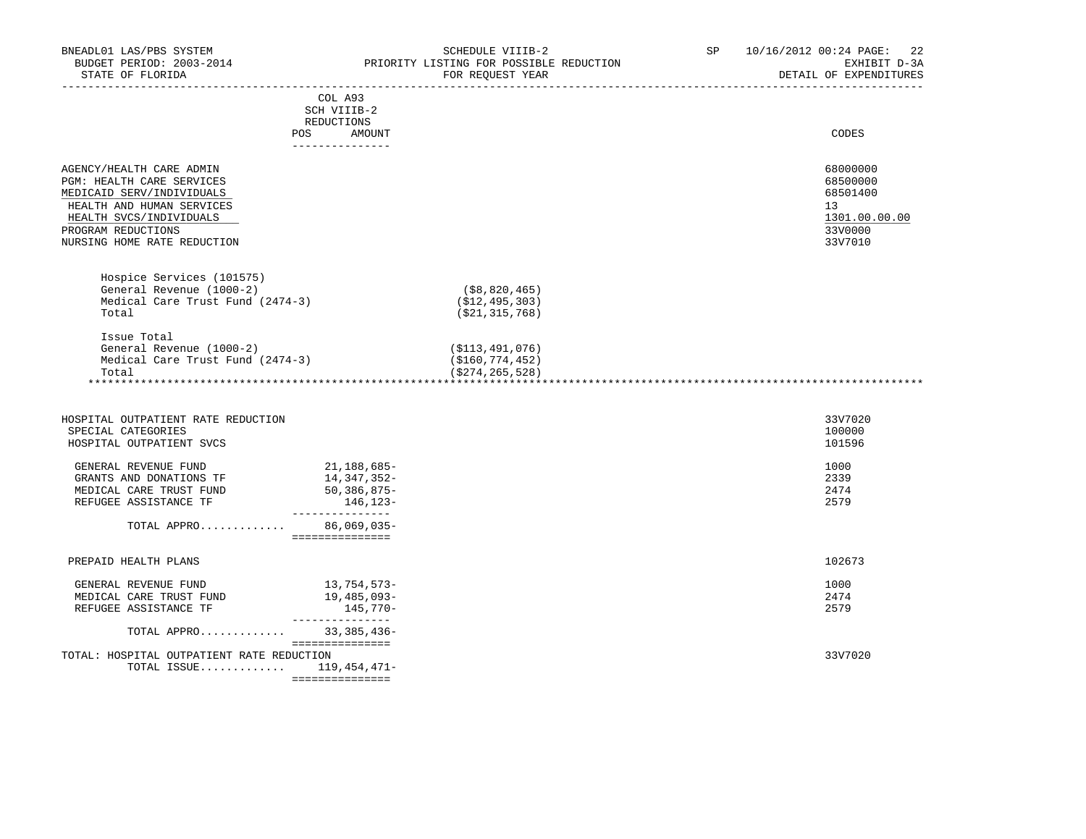| BNEADL01 LAS/PBS SYSTEM<br>BUDGET PERIOD: 2003-2014<br>STATE OF FLORIDA                                                                                                                         |                                                                          | SCHEDULE VIIIB-2<br>PRIORITY LISTING FOR POSSIBLE REDUCTION<br>FOR REQUEST YEAR | 10/16/2012 00:24 PAGE:<br>SP and the set of the set of the set of the set of the set of the set of the set of the set of the set of the s | -22<br>EXHIBIT D-3A<br>DETAIL OF EXPENDITURES                                 |
|-------------------------------------------------------------------------------------------------------------------------------------------------------------------------------------------------|--------------------------------------------------------------------------|---------------------------------------------------------------------------------|-------------------------------------------------------------------------------------------------------------------------------------------|-------------------------------------------------------------------------------|
|                                                                                                                                                                                                 | COL A93<br>SCH VIIIB-2<br>REDUCTIONS<br>POS<br>AMOUNT<br>_______________ |                                                                                 |                                                                                                                                           | CODES                                                                         |
| AGENCY/HEALTH CARE ADMIN<br>PGM: HEALTH CARE SERVICES<br>MEDICAID SERV/INDIVIDUALS<br>HEALTH AND HUMAN SERVICES<br>HEALTH SVCS/INDIVIDUALS<br>PROGRAM REDUCTIONS<br>NURSING HOME RATE REDUCTION |                                                                          |                                                                                 |                                                                                                                                           | 68000000<br>68500000<br>68501400<br>13<br>1301.00.00.00<br>33V0000<br>33V7010 |
| Hospice Services (101575)<br>General Revenue (1000-2)<br>Medical Care Trust Fund (2474-3)<br>Total                                                                                              |                                                                          | (\$8,820,465)<br>( \$12, 495, 303)<br>( \$21, 315, 768)                         |                                                                                                                                           |                                                                               |
| Issue Total<br>General Revenue (1000-2)<br>Medical Care Trust Fund (2474-3)<br>Total                                                                                                            |                                                                          | (\$113,491,076)<br>( \$160, 774, 452)<br>( \$274, 265, 528 )                    |                                                                                                                                           |                                                                               |
| HOSPITAL OUTPATIENT RATE REDUCTION<br>SPECIAL CATEGORIES<br>HOSPITAL OUTPATIENT SVCS                                                                                                            |                                                                          |                                                                                 |                                                                                                                                           | 33V7020<br>100000<br>101596                                                   |
| GENERAL REVENUE FUND<br>GRANTS AND DONATIONS TF<br>MEDICAL CARE TRUST FUND<br>REFUGEE ASSISTANCE TF                                                                                             | 21,188,685-<br>14,347,352-<br>50,386,875-<br>146,123-                    |                                                                                 |                                                                                                                                           | 1000<br>2339<br>2474<br>2579                                                  |
| TOTAL APPRO 86,069,035-                                                                                                                                                                         | ________________<br>----------------                                     |                                                                                 |                                                                                                                                           |                                                                               |
| PREPAID HEALTH PLANS                                                                                                                                                                            |                                                                          |                                                                                 |                                                                                                                                           | 102673                                                                        |
| GENERAL REVENUE FUND<br>MEDICAL CARE TRUST FUND<br>REFUGEE ASSISTANCE TF                                                                                                                        | 13,754,573-<br>19,485,093-<br>145,770-<br>________________               |                                                                                 |                                                                                                                                           | 1000<br>2474<br>2579                                                          |
| TOTAL APPRO                                                                                                                                                                                     | 33,385,436-<br>===============                                           |                                                                                 |                                                                                                                                           |                                                                               |
| TOTAL: HOSPITAL OUTPATIENT RATE REDUCTION<br>TOTAL ISSUE 119,454,471-                                                                                                                           | ===============                                                          |                                                                                 |                                                                                                                                           | 33V7020                                                                       |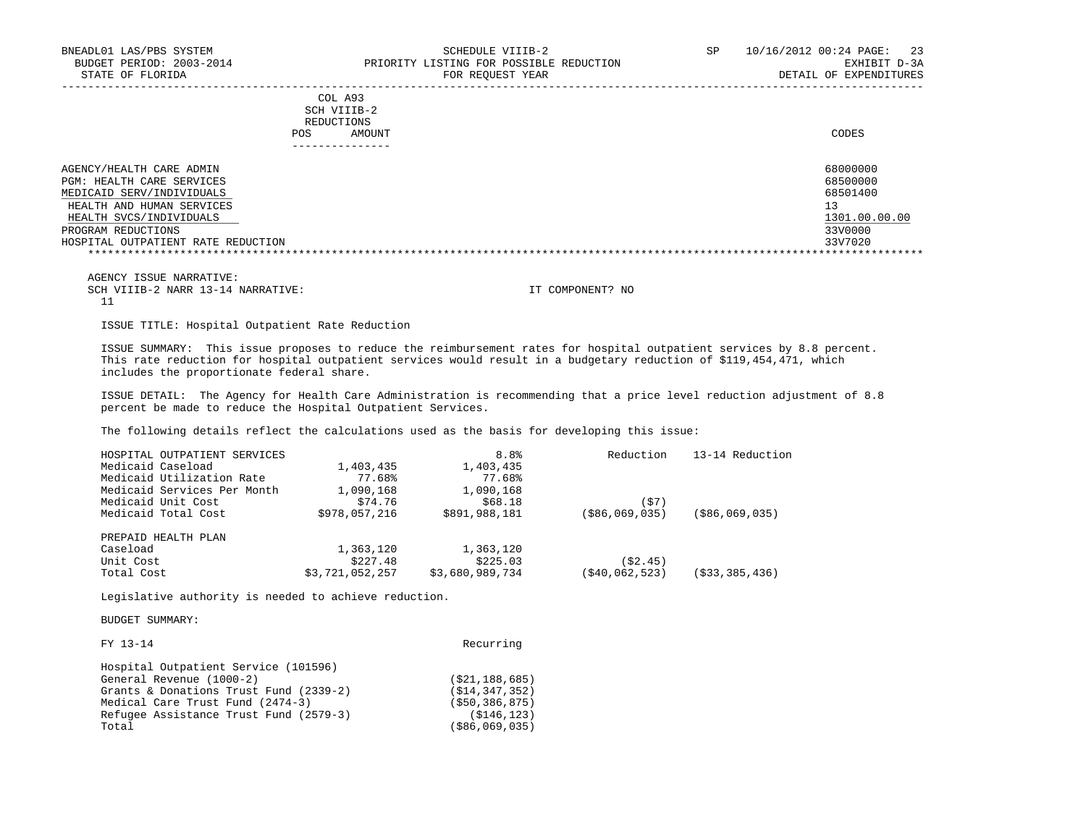|     | COL A93     |       |
|-----|-------------|-------|
|     | SCH VIIIB-2 |       |
|     | REDUCTIONS  |       |
| POS | AMOUNT      | CODES |
|     |             |       |

| AGENCY/HEALTH CARE ADMIN           | 68000000      |
|------------------------------------|---------------|
| PGM: HEALTH CARE SERVICES          | 68500000      |
| MEDICAID SERV/INDIVIDUALS          | 68501400      |
| HEALTH AND HUMAN SERVICES          |               |
| HEALTH SVCS/INDIVIDUALS            | 1301.00.00.00 |
| PROGRAM REDUCTIONS                 | 33V0000       |
| HOSPITAL OUTPATIENT RATE REDUCTION | 33V7020       |
|                                    |               |

-----------------------------------------------------------------------------------------------------------------------------------

 AGENCY ISSUE NARRATIVE: SCH VIIIB-2 NARR 13-14 NARRATIVE: IT COMPONENT? NO 11

ISSUE TITLE: Hospital Outpatient Rate Reduction

 ISSUE SUMMARY: This issue proposes to reduce the reimbursement rates for hospital outpatient services by 8.8 percent. This rate reduction for hospital outpatient services would result in a budgetary reduction of \$119,454,471, which includes the proportionate federal share.

 ISSUE DETAIL: The Agency for Health Care Administration is recommending that a price level reduction adjustment of 8.8 percent be made to reduce the Hospital Outpatient Services.

The following details reflect the calculations used as the basis for developing this issue:

| HOSPITAL OUTPATIENT SERVICES |                 | 8.8 <sup>°</sup> | Reduction      | 13-14 Reduction   |
|------------------------------|-----------------|------------------|----------------|-------------------|
| Medicaid Caseload            | 1,403,435       | 1,403,435        |                |                   |
| Medicaid Utilization Rate    | 77.68%          | 77.68%           |                |                   |
| Medicaid Services Per Month  | 1,090,168       | 1,090,168        |                |                   |
| Medicaid Unit Cost           | \$74.76         | \$68.18          | (\$7)          |                   |
| Medicaid Total Cost          | \$978,057,216   | \$891,988,181    | (\$86,069,035) | ( \$86, 069, 035) |
| PREPAID HEALTH PLAN          |                 |                  |                |                   |
| Caseload                     | 1,363,120       | 1,363,120        |                |                   |
| Unit Cost                    | \$227.48        | \$225.03         | (S2.45)        |                   |
| Total Cost                   | \$3,721,052,257 | \$3,680,989,734  | (\$40,062,523) | (533, 385, 436)   |

Legislative authority is needed to achieve reduction.

| FY 13-14                               | Recurring         |
|----------------------------------------|-------------------|
| Hospital Outpatient Service (101596)   |                   |
| General Revenue (1000-2)               | (S21, 188, 685)   |
| Grants & Donations Trust Fund (2339-2) | (S14, 347, 352)   |
| Medical Care Trust Fund (2474-3)       | ( \$50, 386, 875) |
| Refugee Assistance Trust Fund (2579-3) | (S146, 123)       |
| Total                                  | ( \$86, 069, 035) |
|                                        |                   |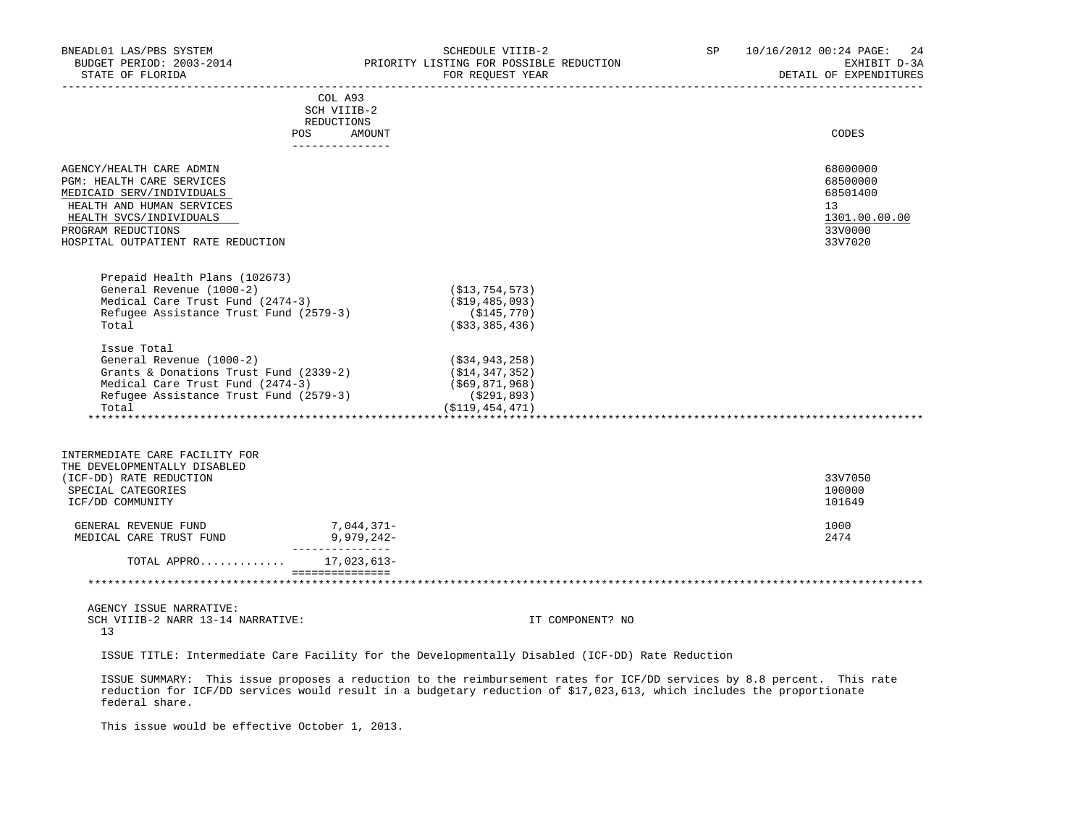| BNEADL01 LAS/PBS SYSTEM<br>STATE OF FLORIDA                                |                                         | SCHEDULE VIIIB-2<br>BUDGET PERIOD: 2003-2014 PRIORITY LISTING FOR POSSIBLE REDUCTION<br>FOR REQUEST YEAR | SP | 10/16/2012 00:24 PAGE: 24<br>EXHIBIT D-3A<br>DETAIL OF EXPENDITURES |
|----------------------------------------------------------------------------|-----------------------------------------|----------------------------------------------------------------------------------------------------------|----|---------------------------------------------------------------------|
|                                                                            | COL A93                                 |                                                                                                          |    |                                                                     |
|                                                                            | SCH VIIIB-2                             |                                                                                                          |    |                                                                     |
|                                                                            | REDUCTIONS                              |                                                                                                          |    |                                                                     |
|                                                                            | <b>POS</b><br>AMOUNT<br>_______________ |                                                                                                          |    | CODES                                                               |
|                                                                            |                                         |                                                                                                          |    |                                                                     |
| AGENCY/HEALTH CARE ADMIN                                                   |                                         |                                                                                                          |    | 68000000                                                            |
| PGM: HEALTH CARE SERVICES                                                  |                                         |                                                                                                          |    | 68500000                                                            |
| MEDICAID SERV/INDIVIDUALS                                                  |                                         |                                                                                                          |    | 68501400                                                            |
| HEALTH AND HUMAN SERVICES                                                  |                                         |                                                                                                          |    | 13                                                                  |
| HEALTH SVCS/INDIVIDUALS                                                    |                                         |                                                                                                          |    | 1301.00.00.00                                                       |
| PROGRAM REDUCTIONS                                                         |                                         |                                                                                                          |    | 33V0000                                                             |
| HOSPITAL OUTPATIENT RATE REDUCTION                                         |                                         |                                                                                                          |    | 33V7020                                                             |
|                                                                            |                                         |                                                                                                          |    |                                                                     |
| Prepaid Health Plans (102673)                                              |                                         |                                                                                                          |    |                                                                     |
| General Revenue (1000-2)                                                   |                                         | (\$13,754,573)                                                                                           |    |                                                                     |
| Medical Care Trust Fund (2474-3)                                           |                                         | ( \$19,485,093)                                                                                          |    |                                                                     |
| Refugee Assistance Trust Fund (2579-3)                                     |                                         | $(\$145,770)$                                                                                            |    |                                                                     |
| Total                                                                      |                                         | ( \$33, 385, 436)                                                                                        |    |                                                                     |
| Issue Total                                                                |                                         |                                                                                                          |    |                                                                     |
| General Revenue (1000-2)                                                   |                                         | (\$34,943,258)                                                                                           |    |                                                                     |
| Grants & Donations Trust Fund $(2339-2)$                                   |                                         | ( \$14, 347, 352)                                                                                        |    |                                                                     |
| Medical Care Trust Fund (2474-3)<br>Refugee Assistance Trust Fund (2579-3) |                                         | (\$69,871,968)                                                                                           |    |                                                                     |
|                                                                            |                                         | ( \$291, 893)                                                                                            |    |                                                                     |
| Total                                                                      |                                         | (S119, 454, 471)                                                                                         |    |                                                                     |
|                                                                            |                                         |                                                                                                          |    |                                                                     |
| INTERMEDIATE CARE FACILITY FOR                                             |                                         |                                                                                                          |    |                                                                     |
| THE DEVELOPMENTALLY DISABLED                                               |                                         |                                                                                                          |    |                                                                     |
| (ICF-DD) RATE REDUCTION                                                    |                                         |                                                                                                          |    | 33V7050                                                             |
| SPECIAL CATEGORIES                                                         |                                         |                                                                                                          |    | 100000                                                              |
| ICF/DD COMMUNITY                                                           |                                         |                                                                                                          |    | 101649                                                              |
|                                                                            |                                         |                                                                                                          |    |                                                                     |
| GENERAL REVENUE FUND                                                       | 7,044,371-<br>9,979,242-                |                                                                                                          |    | 1000                                                                |
| MEDICAL CARE TRUST FUND                                                    | _________________                       |                                                                                                          |    | 2474                                                                |
| TOTAL APPRO 17,023,613-                                                    |                                         |                                                                                                          |    |                                                                     |
|                                                                            | ===============                         |                                                                                                          |    |                                                                     |
| $\ldots$                                                                   |                                         |                                                                                                          |    |                                                                     |

 AGENCY ISSUE NARRATIVE: SCH VIIIB-2 NARR 13-14 NARRATIVE: IT COMPONENT? NO 13

ISSUE TITLE: Intermediate Care Facility for the Developmentally Disabled (ICF-DD) Rate Reduction

 ISSUE SUMMARY: This issue proposes a reduction to the reimbursement rates for ICF/DD services by 8.8 percent. This rate reduction for ICF/DD services would result in a budgetary reduction of \$17,023,613, which includes the proportionate federal share.

This issue would be effective October 1, 2013.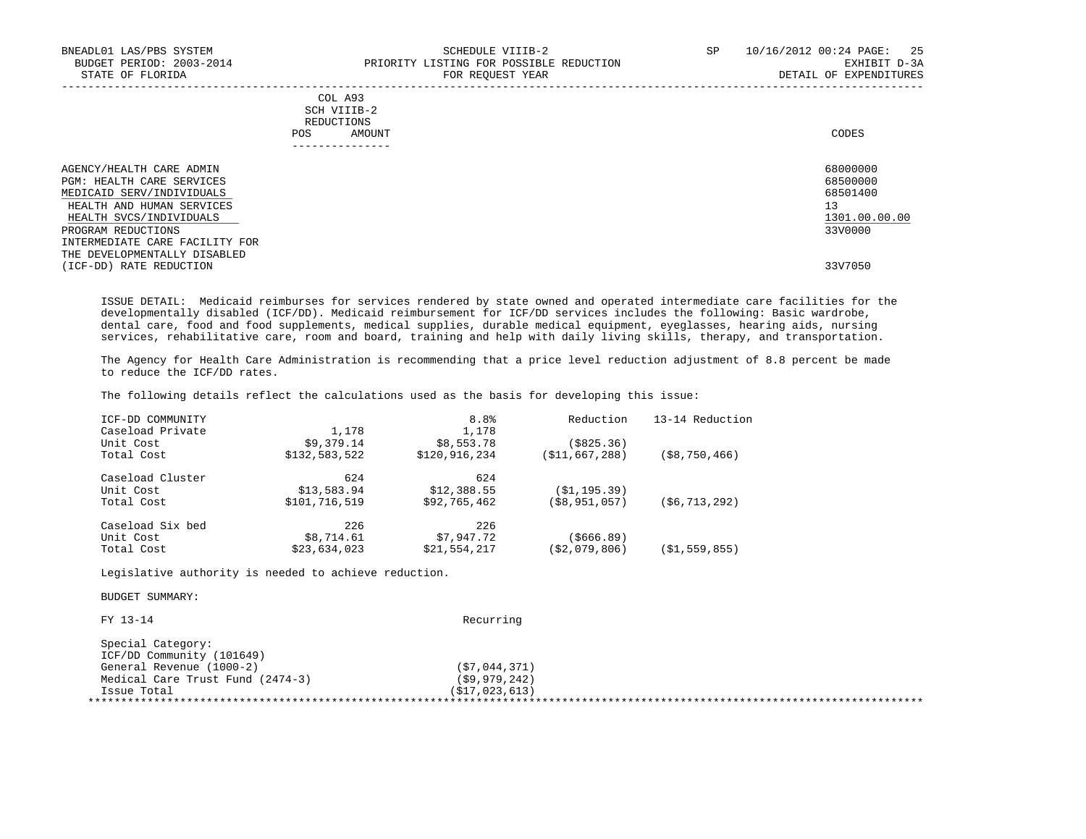| BNEADL01 LAS/PBS SYSTEM<br>BUDGET PERIOD: 2003-2014<br>STATE OF FLORIDA | SCHEDULE VIIIB-2<br>PRIORITY LISTING FOR POSSIBLE REDUCTION<br>FOR REOUEST YEAR | SP<br>10/16/2012 00:24 PAGE: 25<br>EXHIBIT D-3A<br>DETAIL OF EXPENDITURES |
|-------------------------------------------------------------------------|---------------------------------------------------------------------------------|---------------------------------------------------------------------------|
|                                                                         | COL A93<br>SCH VIIIB-2<br>REDUCTIONS<br>AMOUNT<br>POS.                          | CODES                                                                     |
| AGENCY/HEALTH CARE ADMIN                                                |                                                                                 | 68000000                                                                  |
| PGM: HEALTH CARE SERVICES                                               |                                                                                 | 68500000                                                                  |
| MEDICAID SERV/INDIVIDUALS                                               |                                                                                 | 68501400                                                                  |
| HEALTH AND HUMAN SERVICES                                               |                                                                                 | 13                                                                        |
| HEALTH SVCS/INDIVIDUALS                                                 |                                                                                 | 1301.00.00.00                                                             |
| PROGRAM REDUCTIONS                                                      |                                                                                 | 33V0000                                                                   |
| INTERMEDIATE CARE FACILITY FOR                                          |                                                                                 |                                                                           |
| THE DEVELOPMENTALLY DISABLED                                            |                                                                                 |                                                                           |
| (ICF-DD) RATE REDUCTION                                                 |                                                                                 | 33V7050                                                                   |

 ISSUE DETAIL: Medicaid reimburses for services rendered by state owned and operated intermediate care facilities for the developmentally disabled (ICF/DD). Medicaid reimbursement for ICF/DD services includes the following: Basic wardrobe, dental care, food and food supplements, medical supplies, durable medical equipment, eyeglasses, hearing aids, nursing services, rehabilitative care, room and board, training and help with daily living skills, therapy, and transportation.

 The Agency for Health Care Administration is recommending that a price level reduction adjustment of 8.8 percent be made to reduce the ICF/DD rates.

The following details reflect the calculations used as the basis for developing this issue:

| ICF-DD COMMUNITY |               | 8.8 <sup>°</sup> | Reduction      | 13-14 Reduction  |
|------------------|---------------|------------------|----------------|------------------|
| Caseload Private | 1,178         | 1,178            |                |                  |
| Unit Cost        | \$9,379.14    | \$8,553.78       | ( \$825.36)    |                  |
| Total Cost       | \$132,583,522 | \$120,916,234    | (\$11,667,288) | $($ \$8,750,466) |
| Caseload Cluster | 624           | 624              |                |                  |
| Unit Cost        | \$13,583.94   | \$12,388.55      | (S1, 195.39)   |                  |
| Total Cost       | \$101,716,519 | \$92,765,462     | (\$8,951,057)  | (56, 713, 292)   |
| Caseload Six bed | 226           | 226              |                |                  |
| Unit Cost        | \$8,714.61    | \$7,947.72       | (\$666.89)     |                  |
| Total Cost       | \$23,634,023  | \$21,554,217     | 52,079,806)    | (\$1,559,855)    |
|                  |               |                  |                |                  |

Legislative authority is needed to achieve reduction.

BUDGET SUMMARY:

FY 13-14 Recurring

| Special Category:                |                 |  |
|----------------------------------|-----------------|--|
| ICF/DD Community (101649)        |                 |  |
| General Revenue (1000-2)         | (57, 044, 371)  |  |
| Medical Care Trust Fund (2474-3) | (59, 979, 242)  |  |
| Issue Total                      | (517, 023, 613) |  |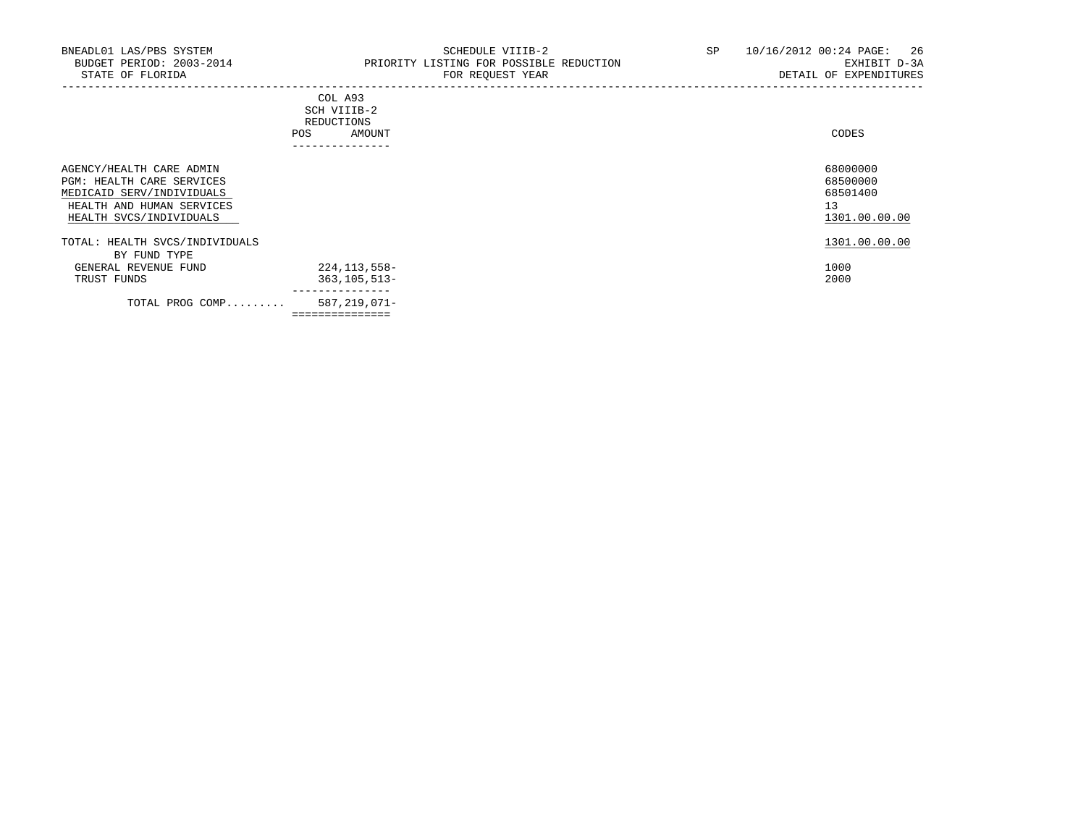-----------------------------------------------------------------------------------------------------------------------------------

|            | _______________ |       |
|------------|-----------------|-------|
| POS        | AMOUNT          | CODES |
| REDUCTIONS |                 |       |
|            | SCH VIIIB-2     |       |
|            | COL A93         |       |

| AGENCY/HEALTH CARE ADMIN<br>PGM: HEALTH CARE SERVICES<br>MEDICAID SERV/INDIVIDUALS<br>HEALTH AND HUMAN SERVICES<br>HEALTH SVCS/INDIVIDUALS |                | 68000000<br>68500000<br>68501400<br>13<br>1301.00.00.00 |
|--------------------------------------------------------------------------------------------------------------------------------------------|----------------|---------------------------------------------------------|
| TOTAL: HEALTH SVCS/INDIVIDUALS                                                                                                             |                | 1301.00.00.00                                           |
| BY FUND TYPE<br>GENERAL REVENUE FUND                                                                                                       | 224,113,558-   | 1000                                                    |
| TRUST FUNDS                                                                                                                                | 363,105,513-   | 2000                                                    |
| TOTAL PROG COMP                                                                                                                            | 587,219,071-   |                                                         |
|                                                                                                                                            | -------------- |                                                         |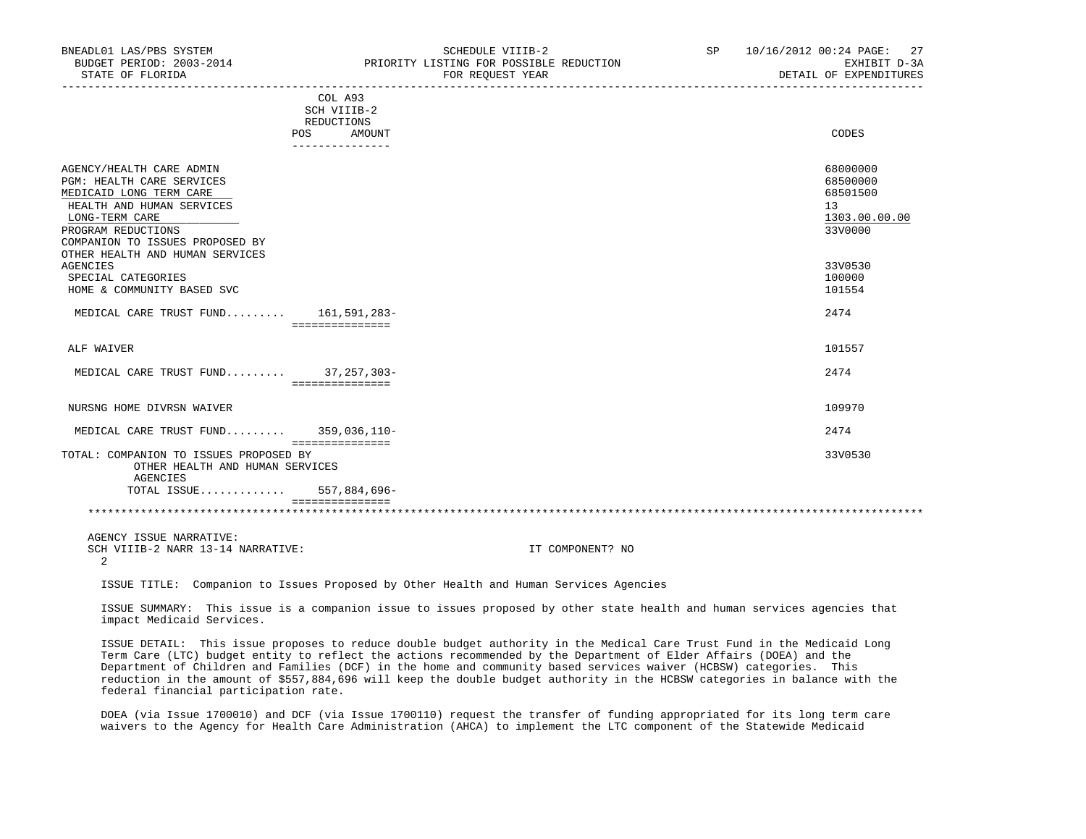| BUDGET PERIOD: 2003-2014<br>STATE OF FLORIDA                                                                                                                                                    | PRIORITY LISTING FOR POSSIBLE REDUCTION<br>FOR REQUEST YEAR                     | EXHIBIT D-3A<br>DETAIL OF EXPENDITURES                             |
|-------------------------------------------------------------------------------------------------------------------------------------------------------------------------------------------------|---------------------------------------------------------------------------------|--------------------------------------------------------------------|
|                                                                                                                                                                                                 | COL A93<br>SCH VIIIB-2<br>REDUCTIONS<br>AMOUNT<br><b>POS</b><br>--------------- | CODES                                                              |
| AGENCY/HEALTH CARE ADMIN<br><b>PGM: HEALTH CARE SERVICES</b><br>MEDICAID LONG TERM CARE<br>HEALTH AND HUMAN SERVICES<br>LONG-TERM CARE<br>PROGRAM REDUCTIONS<br>COMPANION TO ISSUES PROPOSED BY |                                                                                 | 68000000<br>68500000<br>68501500<br>13<br>1303.00.00.00<br>33V0000 |
| OTHER HEALTH AND HUMAN SERVICES<br>AGENCIES<br>SPECIAL CATEGORIES<br>HOME & COMMUNITY BASED SVC                                                                                                 |                                                                                 | 33V0530<br>100000<br>101554                                        |
| MEDICAL CARE TRUST FUND 161,591,283-                                                                                                                                                            | ===============                                                                 | 2474                                                               |
| ALF WAIVER                                                                                                                                                                                      |                                                                                 | 101557                                                             |
| MEDICAL CARE TRUST FUND 37,257,303-                                                                                                                                                             | -----------------                                                               | 2474                                                               |
| NURSNG HOME DIVRSN WAIVER                                                                                                                                                                       |                                                                                 | 109970                                                             |
| MEDICAL CARE TRUST FUND 359,036,110-                                                                                                                                                            | ===============                                                                 | 2474                                                               |
| TOTAL: COMPANION TO ISSUES PROPOSED BY<br>OTHER HEALTH AND HUMAN SERVICES<br>AGENCIES                                                                                                           |                                                                                 | 33V0530                                                            |
| TOTAL ISSUE 557,884,696-                                                                                                                                                                        | ================                                                                |                                                                    |
|                                                                                                                                                                                                 |                                                                                 |                                                                    |

BNEADL01 LAS/PBS SYSTEM SCHEDULE VIIIB-2 SCHEDULE VIIIB-2 SP 10/16/2012 00:24 PAGE: 27

AGENCY ISSUE NARRATIVE:

SCH VIIIB-2 NARR 13-14 NARRATIVE: IT COMPONENT? NO 2

ISSUE TITLE: Companion to Issues Proposed by Other Health and Human Services Agencies

 ISSUE SUMMARY: This issue is a companion issue to issues proposed by other state health and human services agencies that impact Medicaid Services.

 ISSUE DETAIL: This issue proposes to reduce double budget authority in the Medical Care Trust Fund in the Medicaid Long Term Care (LTC) budget entity to reflect the actions recommended by the Department of Elder Affairs (DOEA) and the Department of Children and Families (DCF) in the home and community based services waiver (HCBSW) categories. This reduction in the amount of \$557,884,696 will keep the double budget authority in the HCBSW categories in balance with the federal financial participation rate.

 DOEA (via Issue 1700010) and DCF (via Issue 1700110) request the transfer of funding appropriated for its long term care waivers to the Agency for Health Care Administration (AHCA) to implement the LTC component of the Statewide Medicaid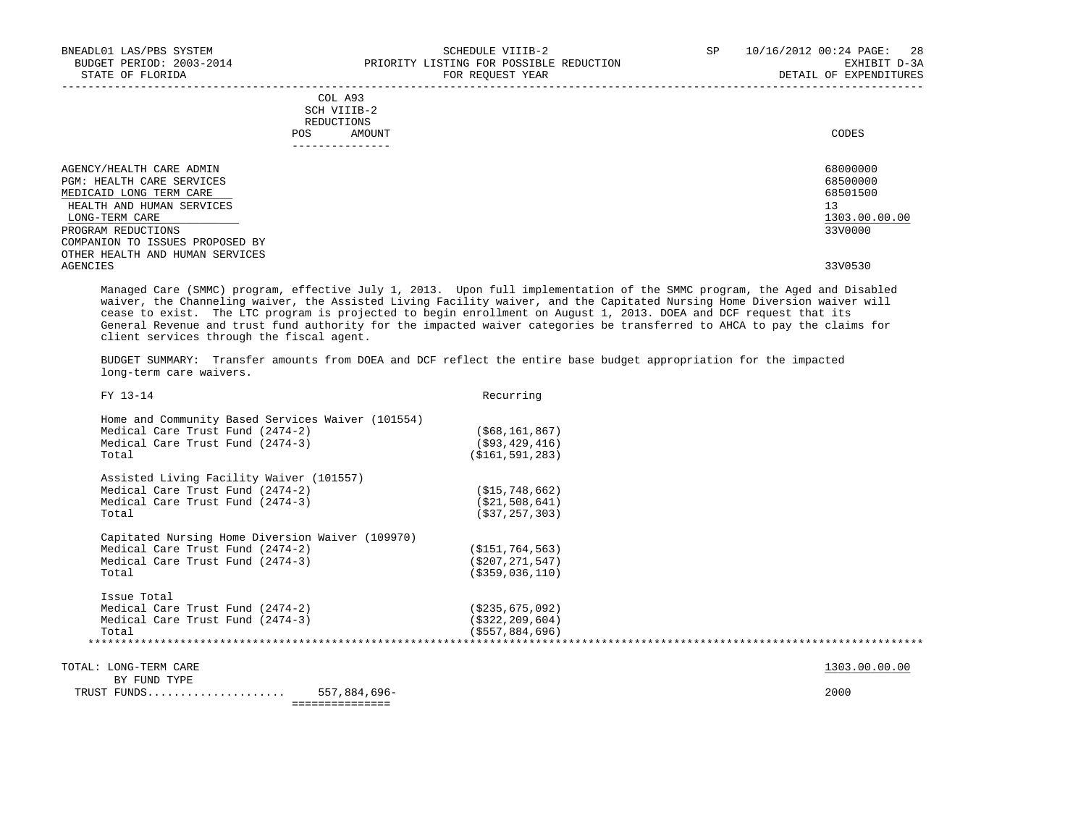| BNEADL01 LAS/PBS SYSTEM<br>BUDGET PERIOD: 2003-2014<br>STATE OF FLORIDA                                                                |                                             | SCHEDULE VIIIB-2<br>PRIORITY LISTING FOR POSSIBLE REDUCTION<br>FOR REQUEST YEAR | SP | -28<br>10/16/2012 00:24 PAGE:<br>EXHIBIT D-3A<br>DETAIL OF EXPENDITURES |
|----------------------------------------------------------------------------------------------------------------------------------------|---------------------------------------------|---------------------------------------------------------------------------------|----|-------------------------------------------------------------------------|
|                                                                                                                                        | COL A93<br>SCH VIIIB-2<br>REDUCTIONS<br>POS | AMOUNT                                                                          |    | CODES                                                                   |
| AGENCY/HEALTH CARE ADMIN<br><b>PGM: HEALTH CARE SERVICES</b><br>MEDICAID LONG TERM CARE<br>HEALTH AND HUMAN SERVICES<br>LONG-TERM CARE |                                             |                                                                                 |    | 68000000<br>68500000<br>68501500<br>13<br>1303.00.00.00                 |
| PROGRAM REDUCTIONS<br>COMPANION TO ISSUES PROPOSED BY<br>OTHER HEALTH AND HUMAN SERVICES                                               |                                             |                                                                                 |    | 33V0000                                                                 |
| AGENCIES                                                                                                                               |                                             |                                                                                 |    | 33V0530                                                                 |

 Managed Care (SMMC) program, effective July 1, 2013. Upon full implementation of the SMMC program, the Aged and Disabled waiver, the Channeling waiver, the Assisted Living Facility waiver, and the Capitated Nursing Home Diversion waiver will cease to exist. The LTC program is projected to begin enrollment on August 1, 2013. DOEA and DCF request that its General Revenue and trust fund authority for the impacted waiver categories be transferred to AHCA to pay the claims for client services through the fiscal agent.

 BUDGET SUMMARY: Transfer amounts from DOEA and DCF reflect the entire base budget appropriation for the impacted long-term care waivers.

| FY 13-14                                          | Recurring          |
|---------------------------------------------------|--------------------|
| Home and Community Based Services Waiver (101554) |                    |
| Medical Care Trust Fund (2474-2)                  | ( \$68, 161, 867)  |
| Medical Care Trust Fund (2474-3)                  | $($ \$93,429,416)  |
| Total                                             | ( \$161, 591, 283) |
| Assisted Living Facility Waiver (101557)          |                    |
| Medical Care Trust Fund (2474-2)                  | (S15, 748, 662)    |
| Medical Care Trust Fund (2474-3)                  | ( \$21,508,641)    |
| Total                                             | ( \$37, 257, 303)  |
| Capitated Nursing Home Diversion Waiver (109970)  |                    |
| Medical Care Trust Fund (2474-2)                  | (S151, 764, 563)   |
| Medical Care Trust Fund (2474-3)                  | (S207, 271, 547)   |
| Total                                             | ( \$359, 036, 110) |
| Issue Total                                       |                    |
| Medical Care Trust Fund (2474-2)                  | (S235, 675, 092)   |
| Medical Care Trust Fund (2474-3)                  | ( \$322, 209, 604) |
| Total                                             | (5557, 884, 696)   |

TOTAL: LONG-TERM CARE 1303.00.00 COLLECTERM CARE

 BY FUND TYPE TRUST FUNDS..................... 557,884,696- 2000 ===============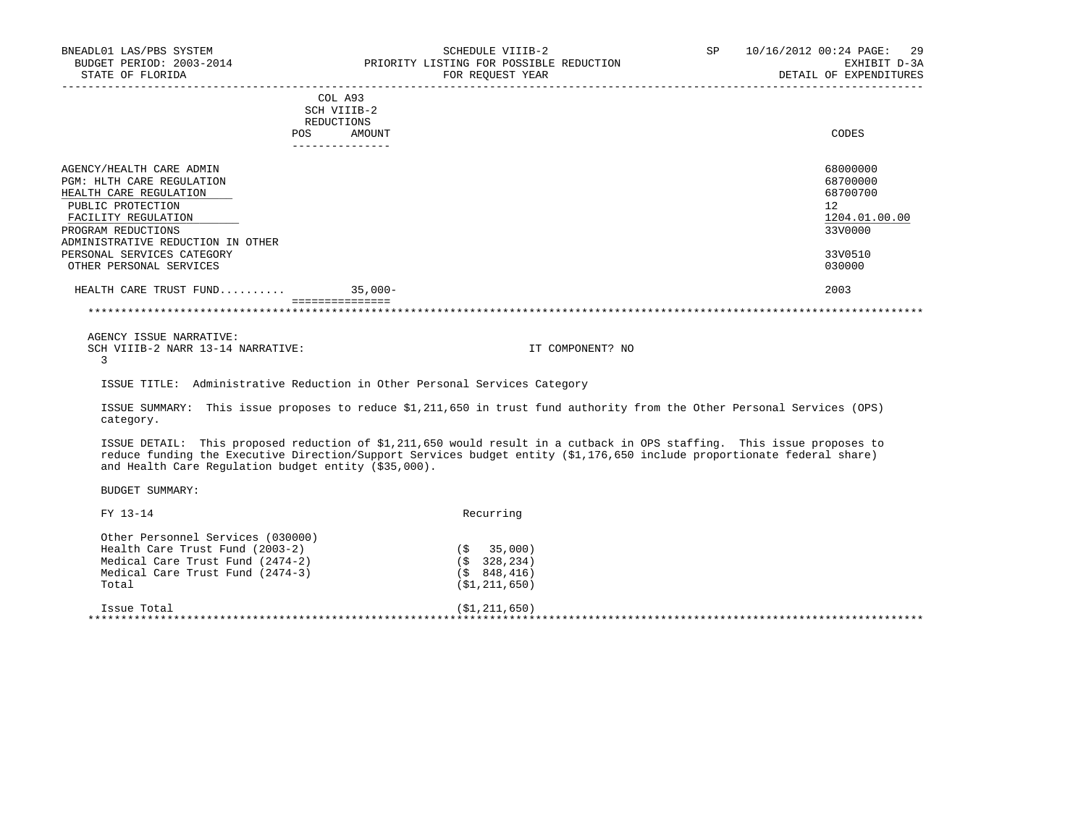| BUDGET PERIOD: 2003-2014<br>STATE OF FLORIDA                                                                                                                                                                                                           |                                                       | PRIORITY LISTING FOR POSSIBLE REDUCTION<br>FOR REQUEST YEAR                                                                                                                                                                                       | EXHIBIT D-3A<br>DETAIL OF EXPENDITURES                                                  |
|--------------------------------------------------------------------------------------------------------------------------------------------------------------------------------------------------------------------------------------------------------|-------------------------------------------------------|---------------------------------------------------------------------------------------------------------------------------------------------------------------------------------------------------------------------------------------------------|-----------------------------------------------------------------------------------------|
|                                                                                                                                                                                                                                                        | COL A93<br>SCH VIIIB-2<br>REDUCTIONS<br>POS<br>AMOUNT |                                                                                                                                                                                                                                                   | CODES                                                                                   |
| AGENCY/HEALTH CARE ADMIN<br><b>PGM: HLTH CARE REGULATION</b><br>HEALTH CARE REGULATION<br>PUBLIC PROTECTION<br>FACILITY REGULATION<br>PROGRAM REDUCTIONS<br>ADMINISTRATIVE REDUCTION IN OTHER<br>PERSONAL SERVICES CATEGORY<br>OTHER PERSONAL SERVICES |                                                       |                                                                                                                                                                                                                                                   | 68000000<br>68700000<br>68700700<br>12<br>1204.01.00.00<br>33V0000<br>33V0510<br>030000 |
| HEALTH CARE TRUST FUND 35,000-                                                                                                                                                                                                                         |                                                       |                                                                                                                                                                                                                                                   | 2003                                                                                    |
|                                                                                                                                                                                                                                                        | <b>ESSESSESSESSESS</b>                                |                                                                                                                                                                                                                                                   |                                                                                         |
| AGENCY ISSUE NARRATIVE:<br>SCH VIIIB-2 NARR 13-14 NARRATIVE:<br>3                                                                                                                                                                                      |                                                       | IT COMPONENT? NO                                                                                                                                                                                                                                  |                                                                                         |
|                                                                                                                                                                                                                                                        |                                                       | ISSUE TITLE: Administrative Reduction in Other Personal Services Category                                                                                                                                                                         |                                                                                         |
| category.                                                                                                                                                                                                                                              |                                                       | ISSUE SUMMARY: This issue proposes to reduce \$1,211,650 in trust fund authority from the Other Personal Services (OPS)                                                                                                                           |                                                                                         |
| and Health Care Regulation budget entity (\$35,000).                                                                                                                                                                                                   |                                                       | ISSUE DETAIL: This proposed reduction of \$1,211,650 would result in a cutback in OPS staffing. This issue proposes to<br>reduce funding the Executive Direction/Support Services budget entity (\$1,176,650 include proportionate federal share) |                                                                                         |
| <b>BUDGET SUMMARY:</b>                                                                                                                                                                                                                                 |                                                       |                                                                                                                                                                                                                                                   |                                                                                         |
| FY 13-14                                                                                                                                                                                                                                               |                                                       | Recurring                                                                                                                                                                                                                                         |                                                                                         |
| Other Personnel Services (030000)<br>Health Care Trust Fund (2003-2)<br>Medical Care Trust Fund (2474-2)                                                                                                                                               |                                                       | 35,000)<br>(\$<br>(S 328, 234)                                                                                                                                                                                                                    |                                                                                         |

BNEADL01 LAS/PBS SYSTEM SCHEDULE VIIIB-2 SCHEDULE VIIIB-2 SP 10/16/2012 00:24 PAGE: 29

Medical Care Trust Fund (2474-3)<br>Total Care Trust Fund (2474-3) Total (\$1,211,650) Issue Total (\$1,211,650) \*\*\*\*\*\*\*\*\*\*\*\*\*\*\*\*\*\*\*\*\*\*\*\*\*\*\*\*\*\*\*\*\*\*\*\*\*\*\*\*\*\*\*\*\*\*\*\*\*\*\*\*\*\*\*\*\*\*\*\*\*\*\*\*\*\*\*\*\*\*\*\*\*\*\*\*\*\*\*\*\*\*\*\*\*\*\*\*\*\*\*\*\*\*\*\*\*\*\*\*\*\*\*\*\*\*\*\*\*\*\*\*\*\*\*\*\*\*\*\*\*\*\*\*\*\*\*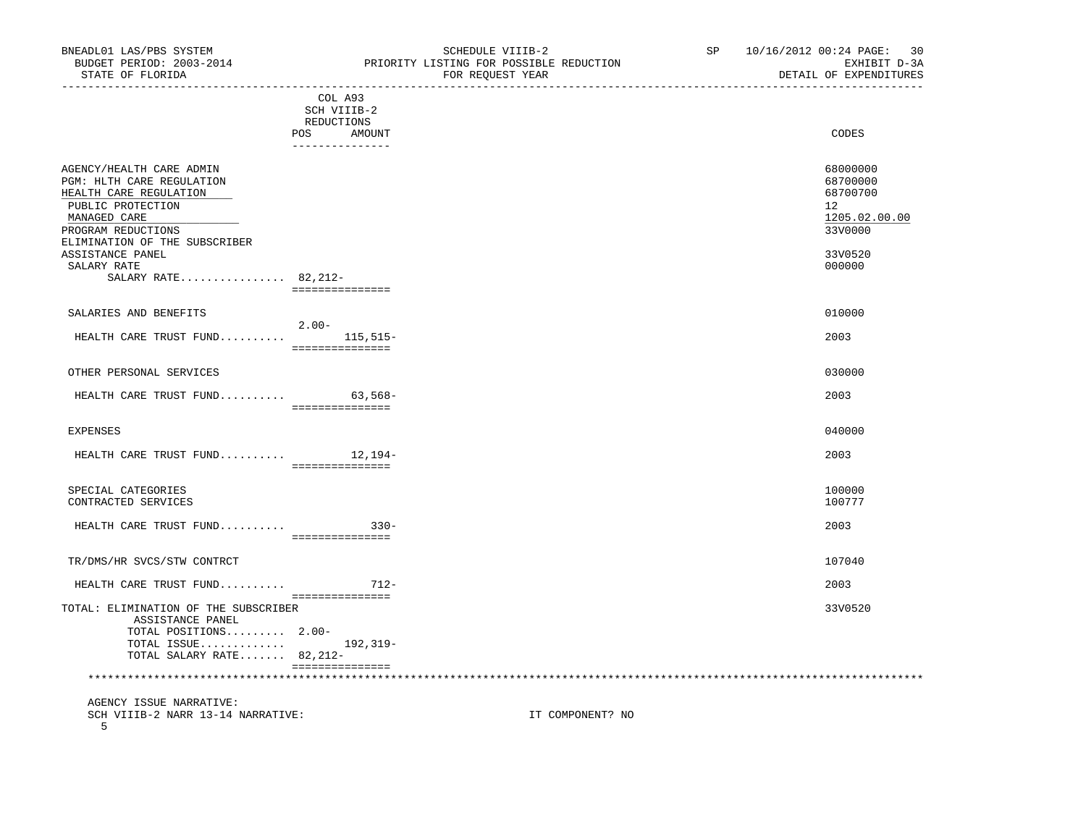|                                                                                                                                                                             | COL A93<br>SCH VIIIB-2           |                                                                              |
|-----------------------------------------------------------------------------------------------------------------------------------------------------------------------------|----------------------------------|------------------------------------------------------------------------------|
|                                                                                                                                                                             | REDUCTIONS                       |                                                                              |
|                                                                                                                                                                             | POS<br>AMOUNT<br>--------------- | CODES                                                                        |
| AGENCY/HEALTH CARE ADMIN<br>PGM: HLTH CARE REGULATION<br>HEALTH CARE REGULATION<br>PUBLIC PROTECTION<br>MANAGED CARE<br>PROGRAM REDUCTIONS<br>ELIMINATION OF THE SUBSCRIBER |                                  | 68000000<br>68700000<br>68700700<br>$12^{\circ}$<br>1205.02.00.00<br>33V0000 |
| ASSISTANCE PANEL<br>SALARY RATE                                                                                                                                             |                                  | 33V0520<br>000000                                                            |
| SALARY RATE 82, 212-                                                                                                                                                        | ===============                  |                                                                              |
| SALARIES AND BENEFITS                                                                                                                                                       | $2.00 -$                         | 010000                                                                       |
| HEALTH CARE TRUST FUND                                                                                                                                                      | $115, 515 -$<br>===============  | 2003                                                                         |
| OTHER PERSONAL SERVICES                                                                                                                                                     |                                  | 030000                                                                       |
| HEALTH CARE TRUST FUND                                                                                                                                                      | $63,568-$<br>===============     | 2003                                                                         |
| <b>EXPENSES</b>                                                                                                                                                             |                                  | 040000                                                                       |
| HEALTH CARE TRUST FUND $12,194-$                                                                                                                                            | ===============                  | 2003                                                                         |
| SPECIAL CATEGORIES<br>CONTRACTED SERVICES                                                                                                                                   |                                  | 100000<br>100777                                                             |
| HEALTH CARE TRUST FUND                                                                                                                                                      | $330 -$<br>===============       | 2003                                                                         |
| TR/DMS/HR SVCS/STW CONTRCT                                                                                                                                                  |                                  | 107040                                                                       |
| HEALTH CARE TRUST FUND                                                                                                                                                      | $712-$                           | 2003                                                                         |
| TOTAL: ELIMINATION OF THE SUBSCRIBER<br>ASSISTANCE PANEL<br>TOTAL POSITIONS 2.00-<br>TOTAL ISSUE<br>TOTAL SALARY RATE 82, 212-                                              | ===============<br>192,319-      | 33V0520                                                                      |
|                                                                                                                                                                             | ===============                  |                                                                              |

 AGENCY ISSUE NARRATIVE: SCH VIIIB-2 NARR 13-14 NARRATIVE: IT COMPONENT? NO 5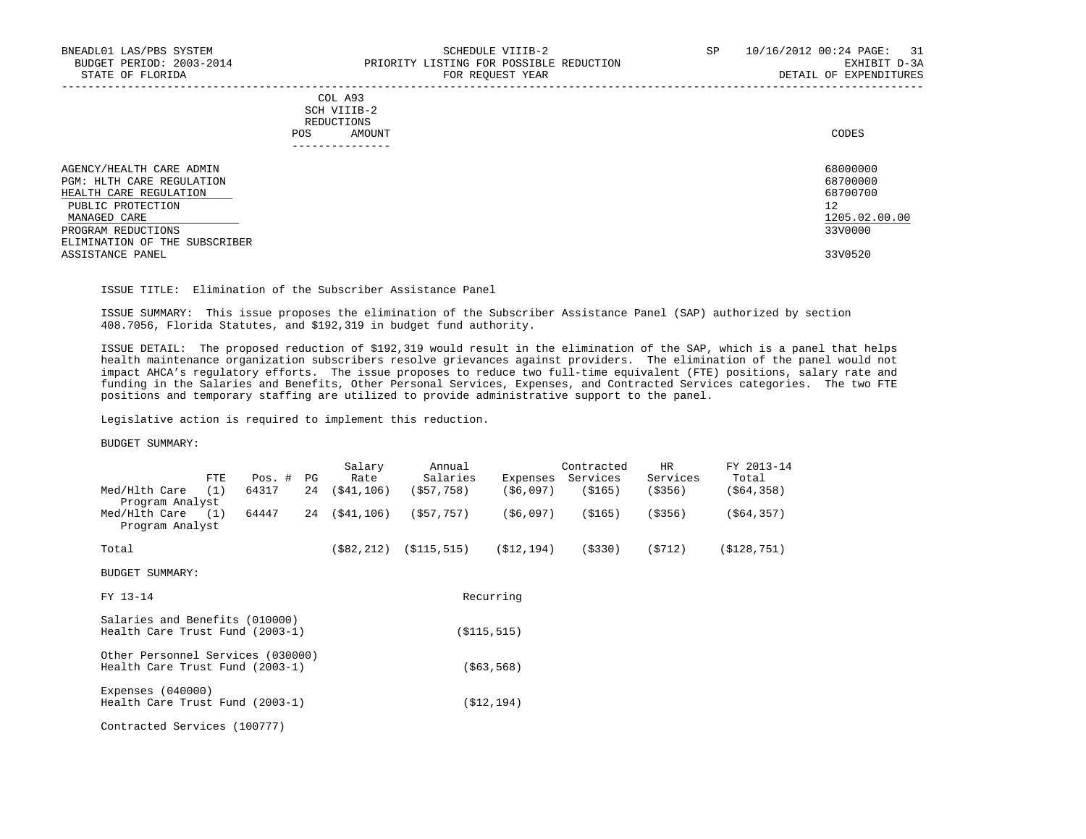### COL A93 SCH VIIIB-2 REDUCTIONS POS AMOUNT CODES ---------------

| AGENCY/HEALTH CARE ADMIN<br>PGM: HLTH CARE REGULATION<br>HEALTH CARE REGULATION<br>PUBLIC PROTECTION<br>MANAGED CARE | 68000000<br>68700000<br>68700700<br>12<br>1205.02.00.00 |
|----------------------------------------------------------------------------------------------------------------------|---------------------------------------------------------|
| PROGRAM REDUCTIONS                                                                                                   | 33V0000                                                 |
| ELIMINATION OF THE SUBSCRIBER<br>ASSISTANCE PANEL                                                                    | 33V0520                                                 |

-----------------------------------------------------------------------------------------------------------------------------------

# ISSUE TITLE: Elimination of the Subscriber Assistance Panel

 ISSUE SUMMARY: This issue proposes the elimination of the Subscriber Assistance Panel (SAP) authorized by section 408.7056, Florida Statutes, and \$192,319 in budget fund authority.

 ISSUE DETAIL: The proposed reduction of \$192,319 would result in the elimination of the SAP, which is a panel that helps health maintenance organization subscribers resolve grievances against providers. The elimination of the panel would not impact AHCA's regulatory efforts. The issue proposes to reduce two full-time equivalent (FTE) positions, salary rate and funding in the Salaries and Benefits, Other Personal Services, Expenses, and Contracted Services categories. The two FTE positions and temporary staffing are utilized to provide administrative support to the panel.

Legislative action is required to implement this reduction.

| FTE.                                                                 | $Pos.$ # | PG | Salary<br>Rate | Annual<br>Salaries | Expenses      | Contracted<br>Services | <b>HR</b><br>Services | FY 2013-14<br>Total |
|----------------------------------------------------------------------|----------|----|----------------|--------------------|---------------|------------------------|-----------------------|---------------------|
| Med/Hlth Care<br>(1)<br>Program Analyst                              | 64317    | 24 | (S41, 106)     | (S57, 758)         | ( \$6,097)    | (\$165)                | ( \$356)              | ( \$64, 358)        |
| $Med/Hlth Care$ (1)<br>Program Analyst                               | 64447    |    | 24 (\$41,106)  | (\$57,757)         | (\$6,097)     | (\$165)                | ( \$356)              | ( \$64, 357)        |
| Total                                                                |          |    | ( \$82, 212)   | (S115, 515)        | (\$12,194)    | ( \$330)               | (5712)                | (S128, 751)         |
| <b>BUDGET SUMMARY:</b>                                               |          |    |                |                    |               |                        |                       |                     |
| FY 13-14                                                             |          |    |                |                    | Recurring     |                        |                       |                     |
| Salaries and Benefits (010000)<br>Health Care Trust Fund (2003-1)    |          |    |                |                    | ( \$115, 515) |                        |                       |                     |
| Other Personnel Services (030000)<br>Health Care Trust Fund (2003-1) |          |    |                |                    | ( \$63, 568)  |                        |                       |                     |
| Expenses $(040000)$<br>Health Care Trust Fund (2003-1)               |          |    |                |                    | (S12, 194)    |                        |                       |                     |
| Contracted Services (100777)                                         |          |    |                |                    |               |                        |                       |                     |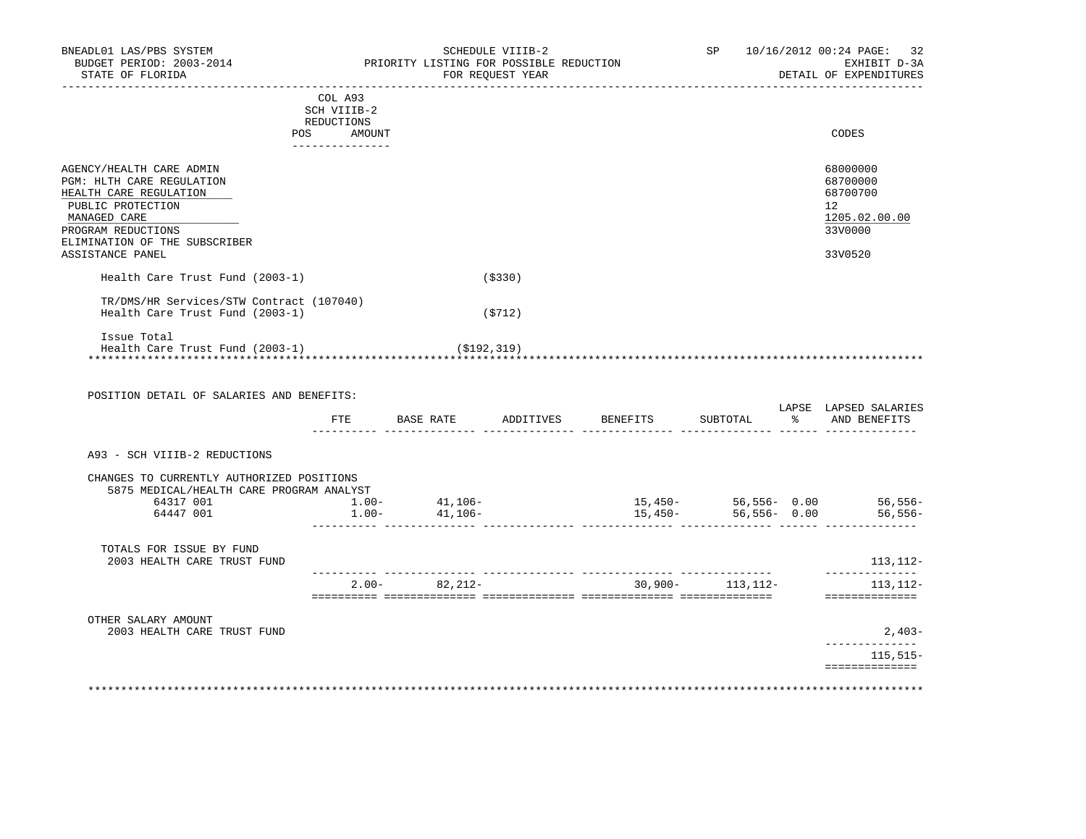| BUDGET PERIOD: 2003-2014<br>STATE OF FLORIDA                                                                                                                                | PRIORITY LISTING FOR POSSIBLE REDUCTION<br>FOR REQUEST YEAR          |               |          |                                             |                           |  | EXHIBIT D-3A<br>DETAIL OF EXPENDITURES                                          |
|-----------------------------------------------------------------------------------------------------------------------------------------------------------------------------|----------------------------------------------------------------------|---------------|----------|---------------------------------------------|---------------------------|--|---------------------------------------------------------------------------------|
|                                                                                                                                                                             | COL A93<br>SCH VIIIB-2<br>REDUCTIONS<br>POS AMOUNT<br>______________ |               |          |                                             |                           |  | CODES                                                                           |
| AGENCY/HEALTH CARE ADMIN<br>PGM: HLTH CARE REGULATION<br>HEALTH CARE REGULATION<br>PUBLIC PROTECTION<br>MANAGED CARE<br>PROGRAM REDUCTIONS<br>ELIMINATION OF THE SUBSCRIBER |                                                                      |               |          |                                             |                           |  | 68000000<br>68700000<br>68700700<br>12 <sup>°</sup><br>1205.02.00.00<br>33V0000 |
| ASSISTANCE PANEL                                                                                                                                                            |                                                                      |               |          |                                             |                           |  | 33V0520                                                                         |
| Health Care Trust Fund (2003-1)                                                                                                                                             |                                                                      |               | ( \$330) |                                             |                           |  |                                                                                 |
| TR/DMS/HR Services/STW Contract (107040)<br>Health Care Trust Fund (2003-1)                                                                                                 |                                                                      |               | (5712)   |                                             |                           |  |                                                                                 |
|                                                                                                                                                                             |                                                                      |               |          |                                             |                           |  |                                                                                 |
| Issue Total<br>Health Care Trust Fund (2003-1)<br>POSITION DETAIL OF SALARIES AND BENEFITS:                                                                                 |                                                                      | ( \$192, 319) |          | FTE BASE RATE ADDITIVES BENEFITS            | SUBTOTAL                  |  | % AND BENEFITS                                                                  |
| A93 - SCH VIIIB-2 REDUCTIONS                                                                                                                                                |                                                                      |               |          |                                             |                           |  | LAPSE LAPSED SALARIES                                                           |
| CHANGES TO CURRENTLY AUTHORIZED POSITIONS<br>5875 MEDICAL/HEALTH CARE PROGRAM ANALYST                                                                                       |                                                                      |               |          |                                             |                           |  |                                                                                 |
| 64317 001 1.00- 41,106-<br>64447 001                                                                                                                                        | $1.00 -$                                                             | 41,106-       |          | $15,450-56,556-0.00$ $56,556-56$<br>15,450- | 56,556-0.00               |  |                                                                                 |
| TOTALS FOR ISSUE BY FUND<br>2003 HEALTH CARE TRUST FUND                                                                                                                     |                                                                      |               |          |                                             |                           |  |                                                                                 |
|                                                                                                                                                                             |                                                                      |               |          | $2.00 - 82,212 - 30,900 - 113,112 -$        | --------- --------------- |  | ______________<br>==============                                                |
| OTHER SALARY AMOUNT<br>2003 HEALTH CARE TRUST FUND                                                                                                                          |                                                                      |               |          |                                             |                           |  |                                                                                 |
|                                                                                                                                                                             |                                                                      |               |          |                                             |                           |  | 56,556–<br>113,112-<br>113,112-<br>2,403-<br>______________<br>115,515–         |

BNEADL01 LAS/PBS SYSTEM SCHEDULE VIIIB-2 SCHEDULE VIIIB-2 SP 10/16/2012 00:24 PAGE: 32